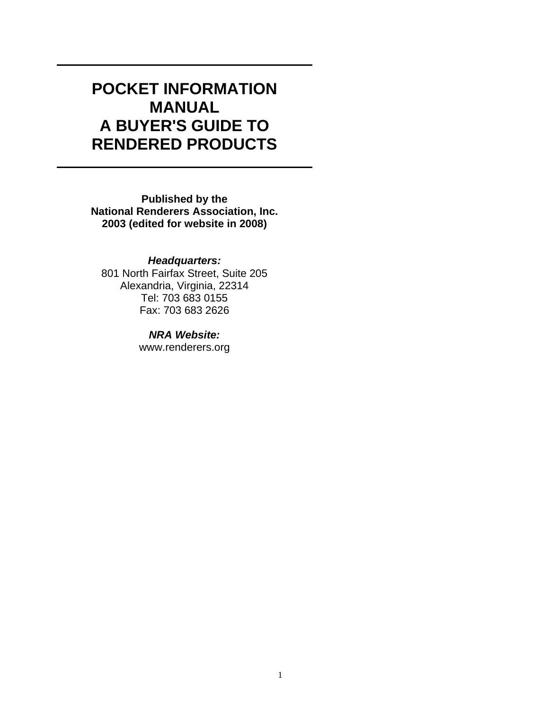# **POCKET INFORMATION MANUAL A BUYER'S GUIDE TO RENDERED PRODUCTS**

**Published by the National Renderers Association, Inc. 2003 (edited for website in 2008)** 

*Headquarters:*  801 North Fairfax Street, Suite 205 Alexandria, Virginia, 22314 Tel: 703 683 0155 Fax: 703 683 2626

> *NRA Website:* www.renderers.org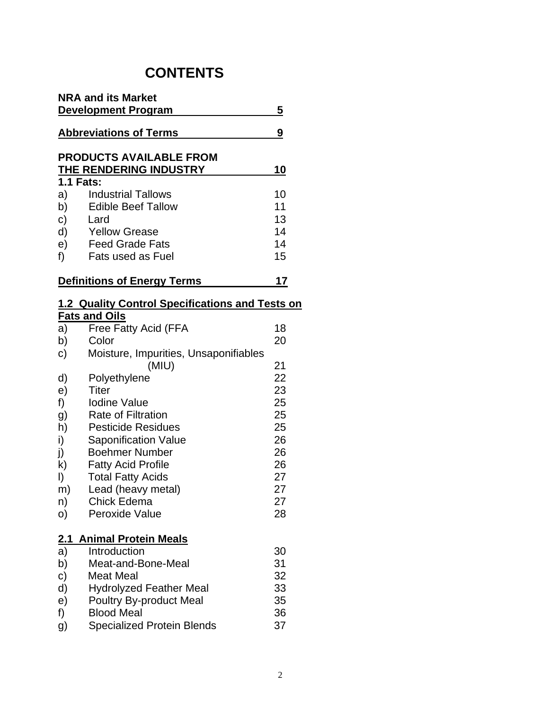## **CONTENTS**

|                            | <b>NRA and its Market</b>                                |            |
|----------------------------|----------------------------------------------------------|------------|
|                            | <b>Development Program</b>                               | 5          |
|                            | <b>Abbreviations of Terms</b>                            | 9          |
|                            | <b>PRODUCTS AVAILABLE FROM</b><br>THE RENDERING INDUSTRY | <u> 10</u> |
|                            | <b>1.1 Fats:</b>                                         |            |
| a)                         | <b>Industrial Tallows</b>                                | 10         |
| b)                         | Edible Beef Tallow                                       | 11         |
| C)                         | Lard                                                     | 13         |
| d)                         | <b>Yellow Grease</b>                                     | 14         |
| e)                         | <b>Feed Grade Fats</b>                                   | 14         |
| f)                         | Fats used as Fuel                                        | 15         |
|                            | <b>Definitions of Energy Terms</b>                       | 17         |
|                            | 1.2 Quality Control Specifications and Tests on          |            |
|                            | <b>Fats and Oils</b>                                     |            |
| a)                         | Free Fatty Acid (FFA                                     | 18         |
| b)                         | Color                                                    | 20         |
| C)                         | Moisture, Impurities, Unsaponifiables                    |            |
|                            | (MIU)                                                    | 21         |
| d)                         | Polyethylene                                             | 22         |
| e)                         | Titer                                                    | 23         |
| f)                         | <b>Iodine Value</b>                                      | 25         |
| g)                         | <b>Rate of Filtration</b>                                | 25         |
| h)<br>$\ddot{\phantom{a}}$ | <b>Pesticide Residues</b><br>$O$ ananifiaatian $U$ alua  | 25<br>nc   |
|                            |                                                          |            |

i) Saponification Value 26<br>
j) Boehmer Number 26 j) Boehmer Number 1996<br>
k) Fatty Acid Profile 1996 1996

- $k$ ) Fatty Acid Profile<br>  $l$ ) Total Fatty Acids l) Total Fatty Acids 27<br>
m) Lead (heavy metal) 27 Lead (heavy metal) 27<br>Chick Edema 27 n) Chick Edema<br>
0) Peroxide Value 28
- Peroxide Value

## **2.1 Animal Protein Meals**

| a)           | Introduction                      | 30 |
|--------------|-----------------------------------|----|
| b)           | Meat-and-Bone-Meal                | 31 |
| $\mathbf{C}$ | <b>Meat Meal</b>                  | 32 |
| $\mathsf{d}$ | <b>Hydrolyzed Feather Meal</b>    | 33 |
| e)           | <b>Poultry By-product Meal</b>    | 35 |
| f            | <b>Blood Meal</b>                 | 36 |
| g)           | <b>Specialized Protein Blends</b> | 37 |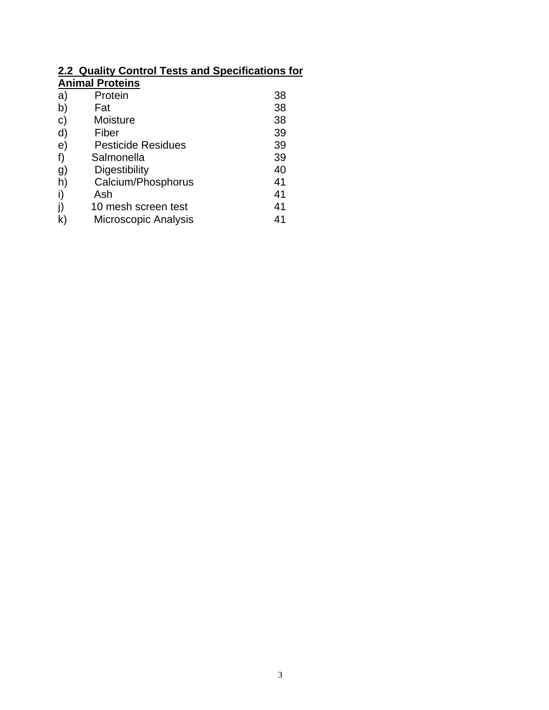#### **2.2 Quality Control Tests and Specifications for Animal Proteins**

| Protein                   | 38 |
|---------------------------|----|
| Fat                       | 38 |
| Moisture                  | 38 |
| Fiber                     | 39 |
| <b>Pesticide Residues</b> | 39 |
| Salmonella                | 39 |
| Digestibility             | 40 |
| Calcium/Phosphorus        | 41 |
| Ash                       | 41 |
| 10 mesh screen test       | 41 |
| Microscopic Analysis      | 41 |
|                           |    |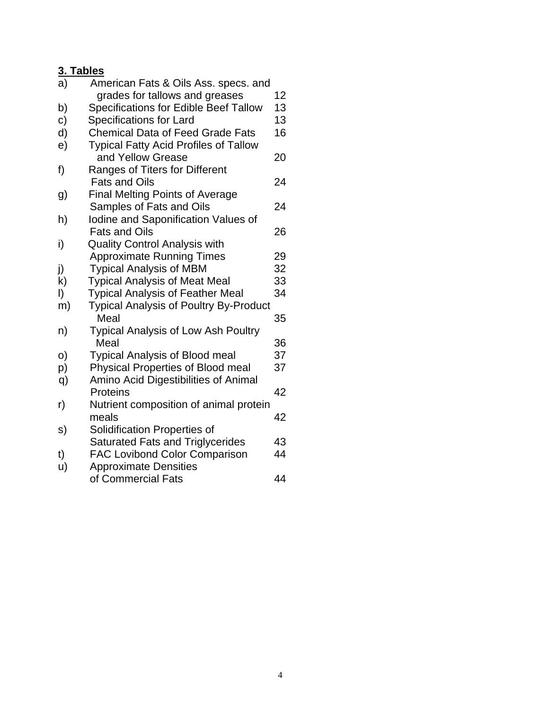## **3. Tables**

| a) | American Fats & Oils Ass. specs. and                  |          |
|----|-------------------------------------------------------|----------|
|    | grades for tallows and greases                        | 12       |
| b) | <b>Specifications for Edible Beef Tallow</b>          | 13       |
| c) | <b>Specifications for Lard</b>                        | 13       |
| d) | <b>Chemical Data of Feed Grade Fats</b>               | 16       |
| e) | <b>Typical Fatty Acid Profiles of Tallow</b>          |          |
|    | and Yellow Grease                                     | 20       |
| f) | Ranges of Titers for Different                        |          |
|    | <b>Fats and Oils</b>                                  | 24       |
| g) | <b>Final Melting Points of Average</b>                |          |
|    | Samples of Fats and Oils                              | 24       |
| h) | Iodine and Saponification Values of                   |          |
|    | <b>Fats and Oils</b>                                  | 26       |
| i) | <b>Quality Control Analysis with</b>                  |          |
|    | <b>Approximate Running Times</b>                      | 29       |
| j) | <b>Typical Analysis of MBM</b>                        | 32       |
| k) | <b>Typical Analysis of Meat Meal</b>                  | 33<br>34 |
| I) | <b>Typical Analysis of Feather Meal</b>               |          |
| m) | <b>Typical Analysis of Poultry By-Product</b><br>Meal | 35       |
| n) | <b>Typical Analysis of Low Ash Poultry</b>            |          |
|    | Meal                                                  | 36       |
| O) | <b>Typical Analysis of Blood meal</b>                 | 37       |
| p) | Physical Properties of Blood meal                     | 37       |
| q) | Amino Acid Digestibilities of Animal                  |          |
|    | Proteins                                              | 42       |
| r) | Nutrient composition of animal protein                |          |
|    | meals                                                 | 42       |
| s) | Solidification Properties of                          |          |
|    | <b>Saturated Fats and Triglycerides</b>               | 43       |
| t) | <b>FAC Lovibond Color Comparison</b>                  | 44       |
| u) | <b>Approximate Densities</b>                          |          |
|    | of Commercial Fats                                    | 44       |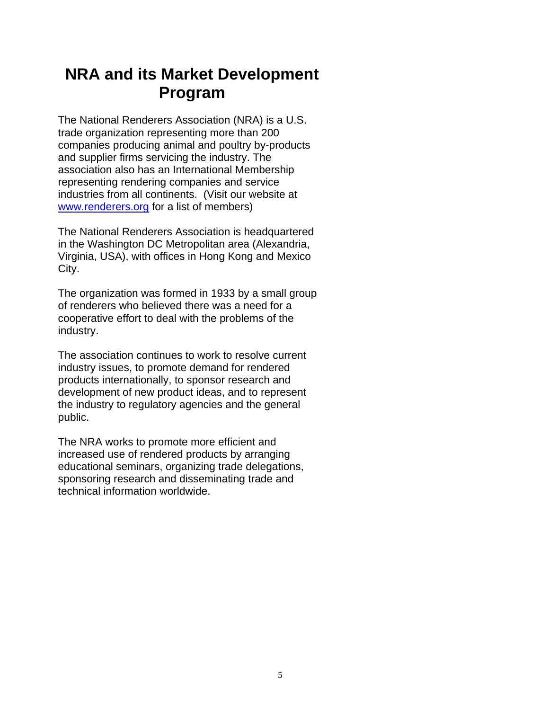# **NRA and its Market Development Program**

The National Renderers Association (NRA) is a U.S. trade organization representing more than 200 companies producing animal and poultry by-products and supplier firms servicing the industry. The association also has an International Membership representing rendering companies and service industries from all continents. (Visit our website at [www.renderers.org](http://www.renderers.org/) for a list of members)

The National Renderers Association is headquartered in the Washington DC Metropolitan area (Alexandria, Virginia, USA), with offices in Hong Kong and Mexico City.

The organization was formed in 1933 by a small group of renderers who believed there was a need for a cooperative effort to deal with the problems of the industry.

The association continues to work to resolve current industry issues, to promote demand for rendered products internationally, to sponsor research and development of new product ideas, and to represent the industry to regulatory agencies and the general public.

The NRA works to promote more efficient and increased use of rendered products by arranging educational seminars, organizing trade delegations, sponsoring research and disseminating trade and technical information worldwide.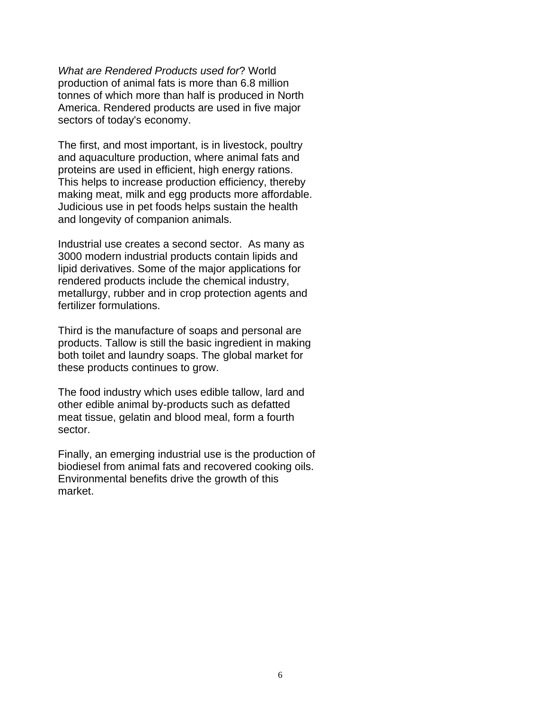*What are Rendered Products used for*? World production of animal fats is more than 6.8 million tonnes of which more than half is produced in North America. Rendered products are used in five major sectors of today's economy.

The first, and most important, is in livestock, poultry and aquaculture production, where animal fats and proteins are used in efficient, high energy rations. This helps to increase production efficiency, thereby making meat, milk and egg products more affordable. Judicious use in pet foods helps sustain the health and longevity of companion animals.

Industrial use creates a second sector. As many as 3000 modern industrial products contain lipids and lipid derivatives. Some of the major applications for rendered products include the chemical industry, metallurgy, rubber and in crop protection agents and fertilizer formulations.

Third is the manufacture of soaps and personal are products. Tallow is still the basic ingredient in making both toilet and laundry soaps. The global market for these products continues to grow.

The food industry which uses edible tallow, lard and other edible animal by-products such as defatted meat tissue, gelatin and blood meal, form a fourth sector.

Finally, an emerging industrial use is the production of biodiesel from animal fats and recovered cooking oils. Environmental benefits drive the growth of this market.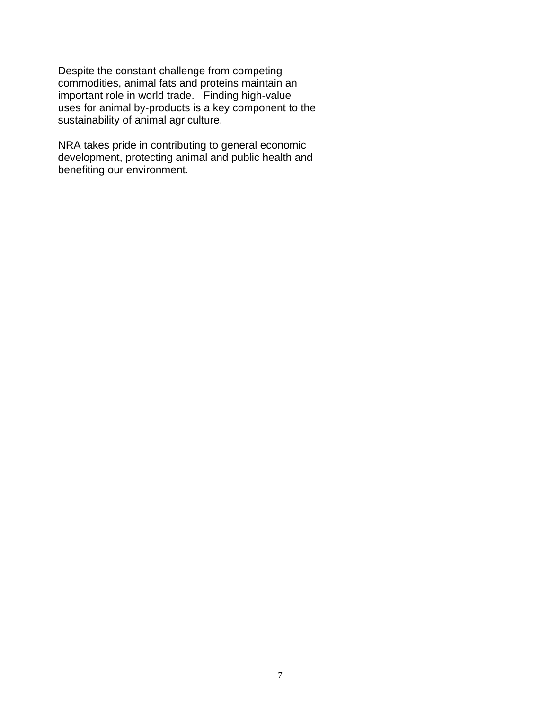Despite the constant challenge from competing commodities, animal fats and proteins maintain an important role in world trade. Finding high-value uses for animal by-products is a key component to the sustainability of animal agriculture.

NRA takes pride in contributing to general economic development, protecting animal and public health and benefiting our environment.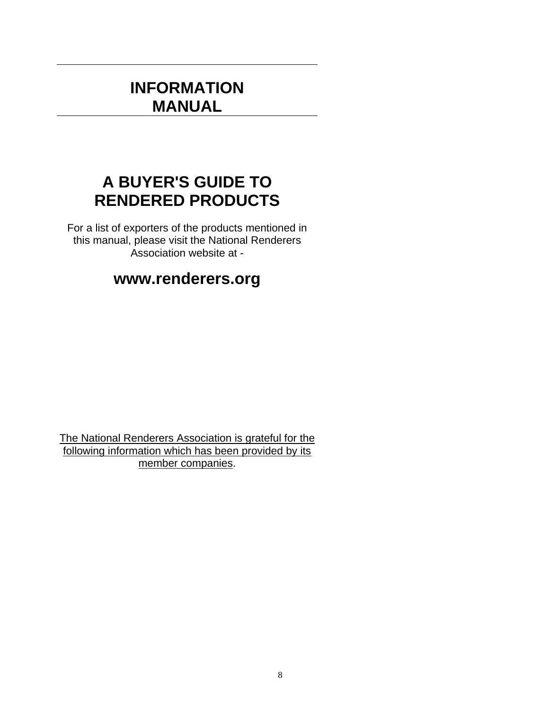## **INFORMATION MANUAL**

# **A BUYER'S GUIDE TO RENDERED PRODUCTS**

For a list of exporters of the products mentioned in this manual, please visit the National Renderers Association website at -

## **www.renderers.org**

The National Renderers Association is grateful for the following information which has been provided by its member companies.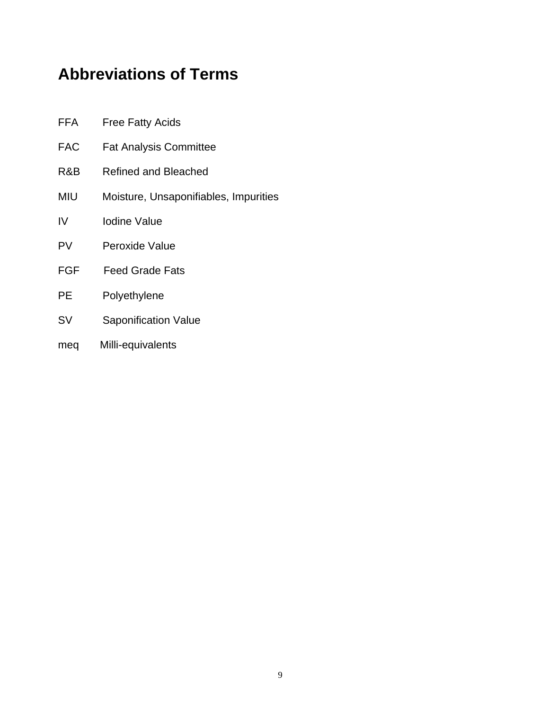# **Abbreviations of Terms**

| FFA | <b>Free Fatty Acids</b>               |
|-----|---------------------------------------|
| FAC | <b>Fat Analysis Committee</b>         |
| R&B | <b>Refined and Bleached</b>           |
| MIU | Moisture, Unsaponifiables, Impurities |
| IV  | <b>Iodine Value</b>                   |
| PV  | Peroxide Value                        |
| FGF | <b>Feed Grade Fats</b>                |
| PE  | Polyethylene                          |
| SV  | <b>Saponification Value</b>           |
| meq | Milli-equivalents                     |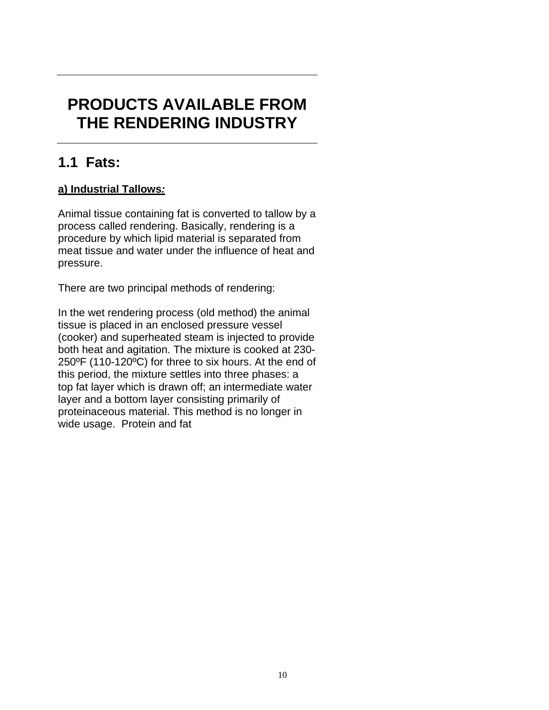# **PRODUCTS AVAILABLE FROM THE RENDERING INDUSTRY**

## **1.1 Fats:**

## **a) Industrial Tallows***:*

Animal tissue containing fat is converted to tallow by a process called rendering. Basically, rendering is a procedure by which lipid material is separated from meat tissue and water under the influence of heat and pressure.

There are two principal methods of rendering:

In the wet rendering process (old method) the animal tissue is placed in an enclosed pressure vessel (cooker) and superheated steam is injected to provide both heat and agitation. The mixture is cooked at 230- 250ºF (110-120ºC) for three to six hours. At the end of this period, the mixture settles into three phases: a top fat layer which is drawn off; an intermediate water layer and a bottom layer consisting primarily of proteinaceous material. This method is no longer in wide usage. Protein and fat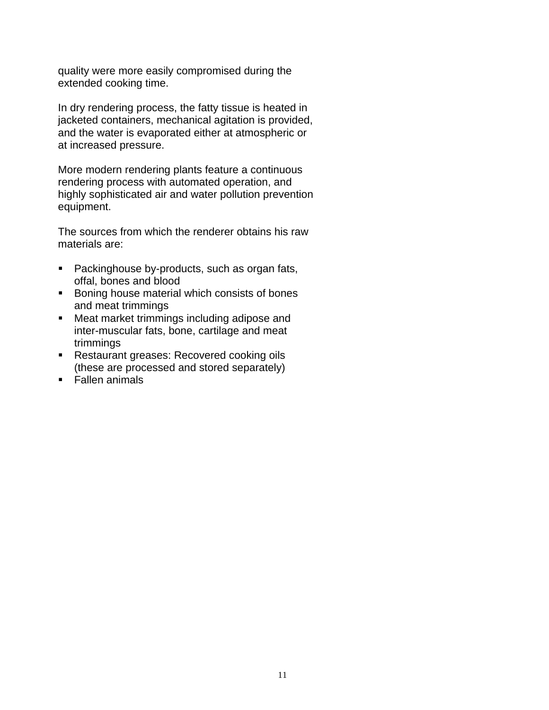quality were more easily compromised during the extended cooking time.

In dry rendering process, the fatty tissue is heated in jacketed containers, mechanical agitation is provided, and the water is evaporated either at atmospheric or at increased pressure.

More modern rendering plants feature a continuous rendering process with automated operation, and highly sophisticated air and water pollution prevention equipment.

The sources from which the renderer obtains his raw materials are:

- Packinghouse by-products, such as organ fats, offal, bones and blood
- **Boning house material which consists of bones** and meat trimmings
- **Meat market trimmings including adipose and** inter-muscular fats, bone, cartilage and meat trimmings
- **Restaurant greases: Recovered cooking oils** (these are processed and stored separately)
- Fallen animals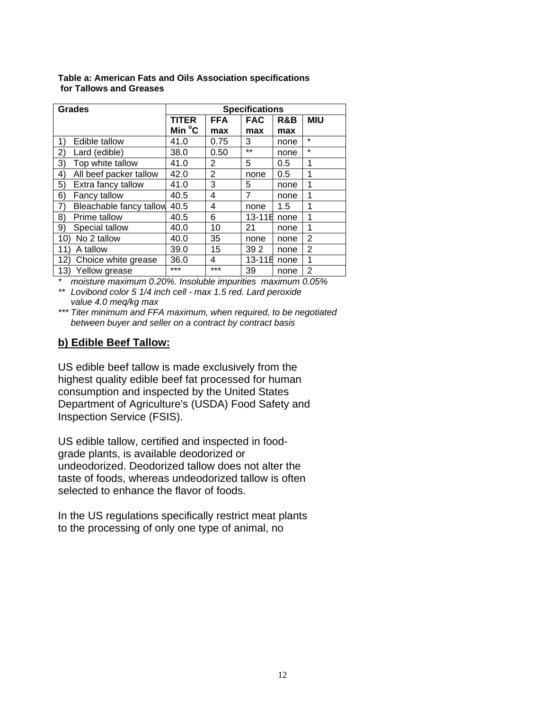| <b>Grades</b>                 |              |            | <b>Specifications</b> |      |            |
|-------------------------------|--------------|------------|-----------------------|------|------------|
|                               | <b>TITER</b> | <b>FFA</b> | <b>FAC</b>            | R&B  | <b>MIU</b> |
|                               | Min °C       | max        | max                   | max  |            |
| 1)<br>Edible tallow           | 41.0         | 0.75       | 3                     | none | $\star$    |
| 2)<br>Lard (edible)           | 38.0         | 0.50       | $***$                 | none | $\star$    |
| Top white tallow<br>3)        | 41.0         | 2          | 5                     | 0.5  | 1          |
| 4)<br>All beef packer tallow  | 42.0         | 2          | none                  | 0.5  | 1          |
| 5)<br>Extra fancy tallow      | 41.0         | 3          | 5                     | none | 1          |
| 6)<br>Fancy tallow            | 40.5         | 4          | 7                     | none | 1          |
| 7)<br>Bleachable fancy tallow | 40.5         | 4          | none                  | 1.5  | 1          |
| 8)<br>Prime tallow            | 40.5         | 6          | 13-11B                | none | 1          |
| 9)<br>Special tallow          | 40.0         | 10         | 21                    | none | 1          |
| No 2 tallow<br>10)            | 40.0         | 35         | none                  | none | 2          |
| A tallow<br>11                | 39.0         | 15         | 39 2                  | none | 2          |
| 12)<br>Choice white grease    | 36.0         | 4          | $13 - 11B$            | none | 1          |
| 13)<br>Yellow grease          | $***$        | ***        | 39                    | none | 2          |

**Table a: American Fats and Oils Association specifications for Tallows and Greases** 

*\* moisture maximum 0.20%. Insoluble impurities maximum 0.05% \*\* Lovibond color 5 1/4 inch cell - max 1.5 red. Lard peroxide* 

 *value 4.0 meq/kg max* 

*\*\*\* Titer minimum and FFA maximum, when required, to be negotiated between buyer and seller on a contract by contract basis* 

## **b) Edible Beef Tallow:**

US edible beef tallow is made exclusively from the highest quality edible beef fat processed for human consumption and inspected by the United States Department of Agriculture's (USDA) Food Safety and Inspection Service (FSIS).

US edible tallow, certified and inspected in foodgrade plants, is available deodorized or undeodorized. Deodorized tallow does not alter the taste of foods, whereas undeodorized tallow is often selected to enhance the flavor of foods.

In the US regulations specifically restrict meat plants to the processing of only one type of animal, no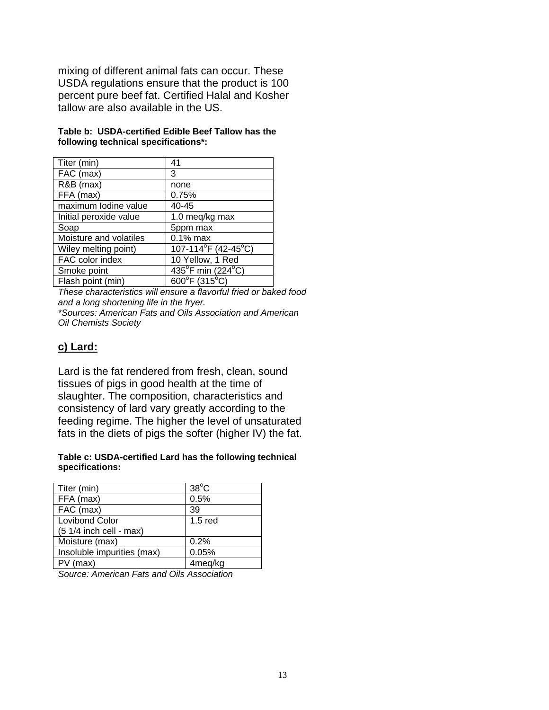mixing of different animal fats can occur. These USDA regulations ensure that the product is 100 percent pure beef fat. Certified Halal and Kosher tallow are also available in the US.

| Table b:  USDA-certified Edible Beef Tallow has the |  |  |
|-----------------------------------------------------|--|--|
| following technical specifications*:                |  |  |

| Titer (min)            | 41                                 |
|------------------------|------------------------------------|
| FAC (max)              | 3                                  |
| R&B (max)              | none                               |
| FFA (max)              | 0.75%                              |
| maximum lodine value   | 40-45                              |
| Initial peroxide value | 1.0 meq/kg max                     |
| Soap                   | 5ppm max                           |
| Moisture and volatiles | $0.1\%$ max                        |
| Wiley melting point)   | 107-114°F (42-45°C)                |
| FAC color index        | 10 Yellow, 1 Red                   |
| Smoke point            | 435°F min (224°C)                  |
| Flash point (min)      | $600^{\circ}$ F (315 $^{\circ}$ C) |

*These characteristics will ensure a flavorful fried or baked food and a long shortening life in the fryer.* 

*\*Sources: American Fats and Oils Association and American Oil Chemists Society* 

## **c) Lard:**

Lard is the fat rendered from fresh, clean, sound tissues of pigs in good health at the time of slaughter. The composition, characteristics and consistency of lard vary greatly according to the feeding regime. The higher the level of unsaturated fats in the diets of pigs the softer (higher IV) the fat.

#### **Table c: USDA-certified Lard has the following technical specifications:**

| Titer (min)                | $38^{\circ}$ C |
|----------------------------|----------------|
| FFA (max)                  | 0.5%           |
| FAC (max)                  | 39             |
| <b>Lovibond Color</b>      | $1.5$ red      |
| $(51/4$ inch cell - max)   |                |
| Moisture (max)             | 0.2%           |
| Insoluble impurities (max) | 0.05%          |
| $PV$ (max)                 | 4meg/kg        |

*Source: American Fats and Oils Association*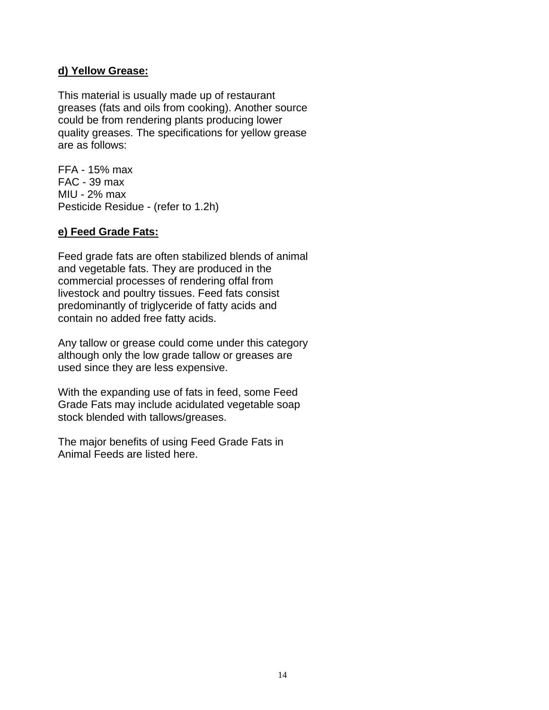#### **d) Yellow Grease:**

This material is usually made up of restaurant greases (fats and oils from cooking). Another source could be from rendering plants producing lower quality greases. The specifications for yellow grease are as follows:

FFA - 15% max FAC - 39 max MIU - 2% max Pesticide Residue - (refer to 1.2h)

## **e) Feed Grade Fats:**

Feed grade fats are often stabilized blends of animal and vegetable fats. They are produced in the commercial processes of rendering offal from livestock and poultry tissues. Feed fats consist predominantly of triglyceride of fatty acids and contain no added free fatty acids.

Any tallow or grease could come under this category although only the low grade tallow or greases are used since they are less expensive.

With the expanding use of fats in feed, some Feed Grade Fats may include acidulated vegetable soap stock blended with tallows/greases.

The major benefits of using Feed Grade Fats in Animal Feeds are listed here.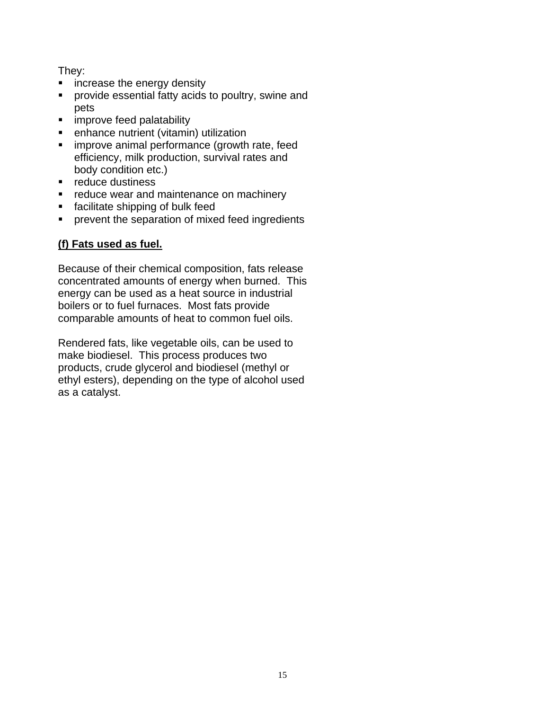They:

- **EXEDE:** increase the energy density
- **Perovide essential fatty acids to poultry, swine and** pets
- **improve feed palatability**
- **e** enhance nutrient (vitamin) utilization
- **F** improve animal performance (growth rate, feed efficiency, milk production, survival rates and body condition etc.)
- **•** reduce dustiness
- **•** reduce wear and maintenance on machinery
- **facilitate shipping of bulk feed**
- **PEDEPERITHM** prevent the separation of mixed feed ingredients

## **(f) Fats used as fuel.**

Because of their chemical composition, fats release concentrated amounts of energy when burned. This energy can be used as a heat source in industrial boilers or to fuel furnaces. Most fats provide comparable amounts of heat to common fuel oils.

Rendered fats, like vegetable oils, can be used to make biodiesel. This process produces two products, crude glycerol and biodiesel (methyl or ethyl esters), depending on the type of alcohol used as a catalyst.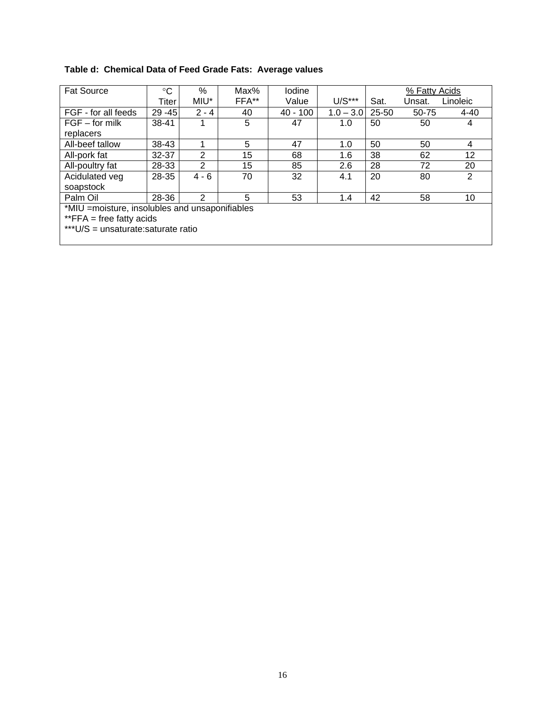## **Table d: Chemical Data of Feed Grade Fats: Average values**

| <b>Fat Source</b>                               | $\rm ^{\circ}C$ | $\%$           | Max%  | Iodine   |             |           | % Fatty Acids |          |
|-------------------------------------------------|-----------------|----------------|-------|----------|-------------|-----------|---------------|----------|
|                                                 | Titer           | MIU*           | FFA** | Value    | $U/S***$    | Sat.      | Unsat.        | Linoleic |
| FGF - for all feeds                             | $29 - 45$       | $2 - 4$        | 40    | 40 - 100 | $1.0 - 3.0$ | $25 - 50$ | 50-75         | 4-40     |
| $FGF - for milk$                                | 38-41           | 1              | 5     | 47       | 1.0         | 50        | 50            | 4        |
| replacers                                       |                 |                |       |          |             |           |               |          |
| All-beef tallow                                 | 38-43           |                | 5     | 47       | 1.0         | 50        | 50            | 4        |
| All-pork fat                                    | 32-37           | 2              | 15    | 68       | 1.6         | 38        | 62            | 12       |
| All-poultry fat                                 | 28-33           | $\overline{2}$ | 15    | 85       | 2.6         | 28        | 72            | 20       |
| Acidulated veg                                  | 28-35           | $4 - 6$        | 70    | 32       | 4.1         | 20        | 80            | 2        |
| soapstock                                       |                 |                |       |          |             |           |               |          |
| Palm Oil                                        | 28-36           | 2              | 5     | 53       | 1.4         | 42        | 58            | 10       |
| *MIU = moisture, insolubles and unsaponifiables |                 |                |       |          |             |           |               |          |
| ** $FFA = free$ fatty acids                     |                 |                |       |          |             |           |               |          |
| *** U/S = unsaturate: saturate ratio            |                 |                |       |          |             |           |               |          |
|                                                 |                 |                |       |          |             |           |               |          |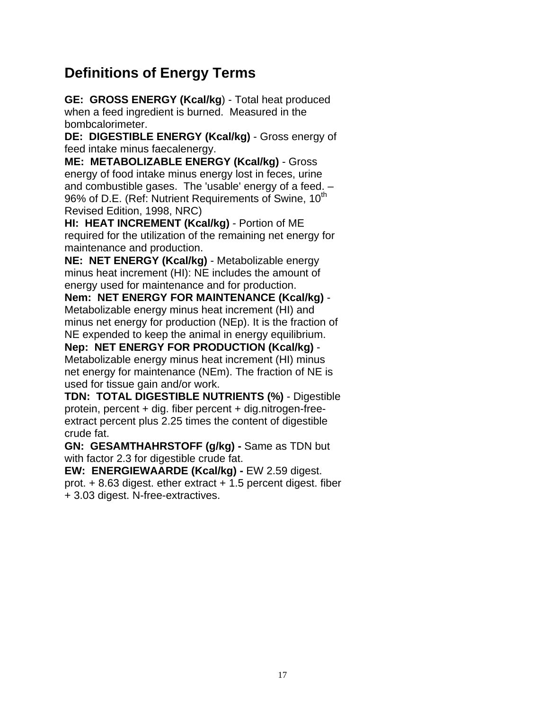## **Definitions of Energy Terms**

**GE: GROSS ENERGY (Kcal/kg**) - Total heat produced when a feed ingredient is burned. Measured in the bombcalorimeter.

**DE: DIGESTIBLE ENERGY (Kcal/kg)** - Gross energy of feed intake minus faecalenergy.

**ME: METABOLIZABLE ENERGY (Kcal/kg)** - Gross energy of food intake minus energy lost in feces, urine and combustible gases. The 'usable' energy of a feed. – 96% of D.E. (Ref: Nutrient Requirements of Swine, 10<sup>th</sup> Revised Edition, 1998, NRC)

**HI: HEAT INCREMENT (Kcal/kg)** - Portion of ME required for the utilization of the remaining net energy for maintenance and production.

**NE: NET ENERGY (Kcal/kg)** - Metabolizable energy minus heat increment (HI): NE includes the amount of energy used for maintenance and for production.

**Nem: NET ENERGY FOR MAINTENANCE (Kcal/kg)** - Metabolizable energy minus heat increment (HI) and minus net energy for production (NEp). It is the fraction of NE expended to keep the animal in energy equilibrium.

**Nep: NET ENERGY FOR PRODUCTION (Kcal/kg)** - Metabolizable energy minus heat increment (HI) minus net energy for maintenance (NEm). The fraction of NE is used for tissue gain and/or work.

**TDN: TOTAL DIGESTIBLE NUTRIENTS (%)** - Digestible protein, percent + dig. fiber percent + dig.nitrogen-freeextract percent plus 2.25 times the content of digestible crude fat.

**GN: GESAMTHAHRSTOFF (g/kg) -** Same as TDN but with factor 2.3 for digestible crude fat.

**EW: ENERGIEWAARDE (Kcal/kg) -** EW 2.59 digest. prot.  $+8.63$  digest. ether extract  $+1.5$  percent digest. fiber + 3.03 digest. N-free-extractives.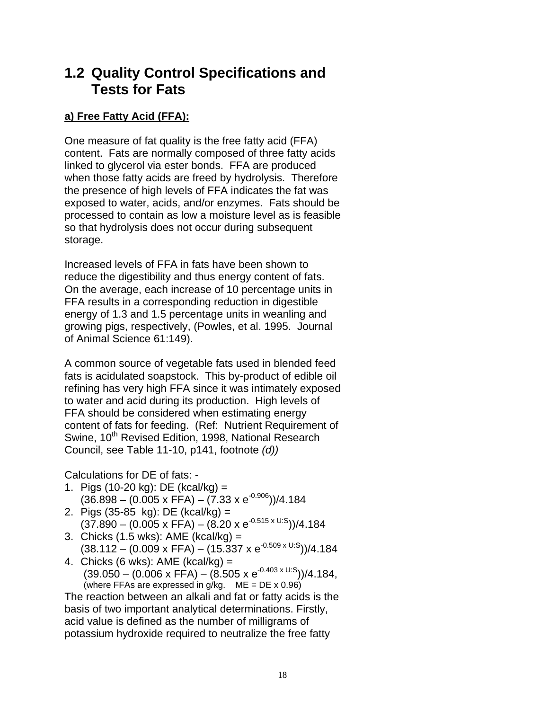## **1.2 Quality Control Specifications and Tests for Fats**

## **a) Free Fatty Acid (FFA):**

One measure of fat quality is the free fatty acid (FFA) content. Fats are normally composed of three fatty acids linked to glycerol via ester bonds. FFA are produced when those fatty acids are freed by hydrolysis. Therefore the presence of high levels of FFA indicates the fat was exposed to water, acids, and/or enzymes. Fats should be processed to contain as low a moisture level as is feasible so that hydrolysis does not occur during subsequent storage.

Increased levels of FFA in fats have been shown to reduce the digestibility and thus energy content of fats. On the average, each increase of 10 percentage units in FFA results in a corresponding reduction in digestible energy of 1.3 and 1.5 percentage units in weanling and growing pigs, respectively, (Powles, et al. 1995. Journal of Animal Science 61:149).

A common source of vegetable fats used in blended feed fats is acidulated soapstock. This by-product of edible oil refining has very high FFA since it was intimately exposed to water and acid during its production. High levels of FFA should be considered when estimating energy content of fats for feeding. (Ref: Nutrient Requirement of Swine, 10<sup>th</sup> Revised Edition, 1998, National Research Council, see Table 11-10, p141, footnote *(d))*

Calculations for DE of fats: -

- 1. Pigs (10-20 kg): DE (kcal/kg) =  $(36.898 - (0.005 \times FFA) - (7.33 \times e^{-0.906})) / 4.184$
- 2. Pigs (35-85 kg): DE (kcal/kg) =  $(37.890 (0.005 \times \text{FFA}) (8.20 \times \text{e}^{0.515 \times \text{U.S}}))/4.184$
- 3. Chicks (1.5 wks): AME (kcal/kg) =  $(38.112 (0.009 \times \text{FFA}) (15.337 \times \text{e}^{-0.509 \times \text{U.S}}))/4.184$
- 4. Chicks (6 wks): AME (kcal/kg) =  $(39.050 (0.006 \times \text{FFA}) (8.505 \times \text{e}^{-0.403 \times \text{U.S}}))/4.184$ . (where FFAs are expressed in  $g/kg$ . ME = DE x 0.96)

The reaction between an alkali and fat or fatty acids is the basis of two important analytical determinations. Firstly, acid value is defined as the number of milligrams of potassium hydroxide required to neutralize the free fatty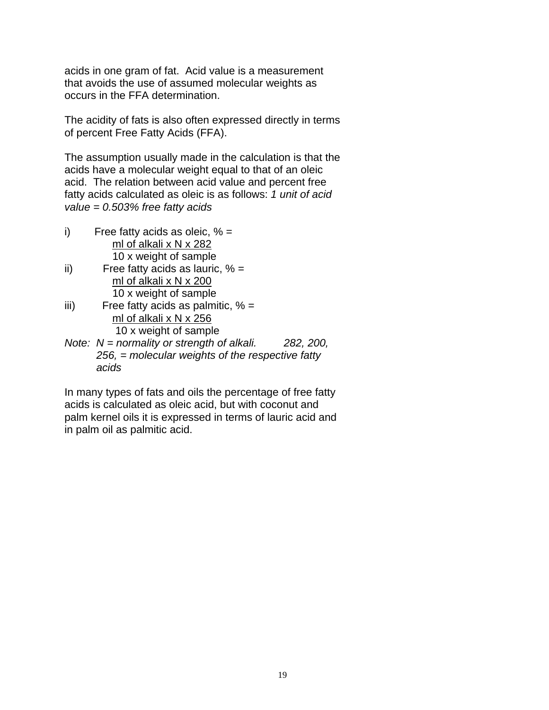acids in one gram of fat. Acid value is a measurement that avoids the use of assumed molecular weights as occurs in the FFA determination.

The acidity of fats is also often expressed directly in terms of percent Free Fatty Acids (FFA).

The assumption usually made in the calculation is that the acids have a molecular weight equal to that of an oleic acid. The relation between acid value and percent free fatty acids calculated as oleic is as follows: *1 unit of acid value = 0.503% free fatty acids* 

- i) Free fatty acids as oleic,  $% =$  ml of alkali x N x 282 10 x weight of sample
- ii) Free fatty acids as lauric,  $% =$  ml of alkali x N x 200 10 x weight of sample
- iii) Free fatty acids as palmitic,  $% =$  ml of alkali x N x 256 10 x weight of sample
- *Note: N = normality or strength of alkali. 282, 200, 256, = molecular weights of the respective fatty acids*

In many types of fats and oils the percentage of free fatty acids is calculated as oleic acid, but with coconut and palm kernel oils it is expressed in terms of lauric acid and in palm oil as palmitic acid.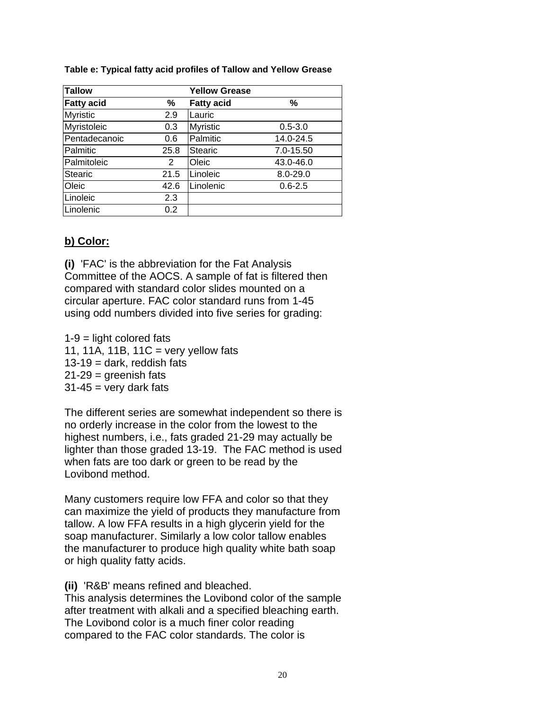#### **Table e: Typical fatty acid profiles of Tallow and Yellow Grease**

| Tallow            |                | <b>Yellow Grease</b> |              |
|-------------------|----------------|----------------------|--------------|
| <b>Fatty acid</b> | ℅              | <b>Fatty acid</b>    | %            |
| <b>Myristic</b>   | 2.9            | Lauric               |              |
| Myristoleic       | 0.3            | <b>Myristic</b>      | $0.5 - 3.0$  |
| Pentadecanoic     | 0.6            | Palmitic             | 14.0-24.5    |
| Palmitic          | 25.8           | <b>Stearic</b>       | 7.0-15.50    |
| Palmitoleic       | $\overline{2}$ | Oleic                | 43.0-46.0    |
| <b>Stearic</b>    | 21.5           | Linoleic             | $8.0 - 29.0$ |
| Oleic             | 42.6           | Linolenic            | $0.6 - 2.5$  |
| Linoleic          | 2.3            |                      |              |
| Linolenic         | 0.2            |                      |              |

## **b) Color:**

**(i)** 'FAC' is the abbreviation for the Fat Analysis Committee of the AOCS. A sample of fat is filtered then compared with standard color slides mounted on a circular aperture. FAC color standard runs from 1-45 using odd numbers divided into five series for grading:

 $1-9$  = light colored fats 11, 11A, 11B, 11C = very yellow fats  $13-19$  = dark, reddish fats  $21-29$  = greenish fats  $31-45$  = very dark fats

The different series are somewhat independent so there is no orderly increase in the color from the lowest to the highest numbers, i.e., fats graded 21-29 may actually be lighter than those graded 13-19. The FAC method is used when fats are too dark or green to be read by the Lovibond method.

Many customers require low FFA and color so that they can maximize the yield of products they manufacture from tallow. A low FFA results in a high glycerin yield for the soap manufacturer. Similarly a low color tallow enables the manufacturer to produce high quality white bath soap or high quality fatty acids.

**(ii)** 'R&B' means refined and bleached.

This analysis determines the Lovibond color of the sample after treatment with alkali and a specified bleaching earth. The Lovibond color is a much finer color reading compared to the FAC color standards. The color is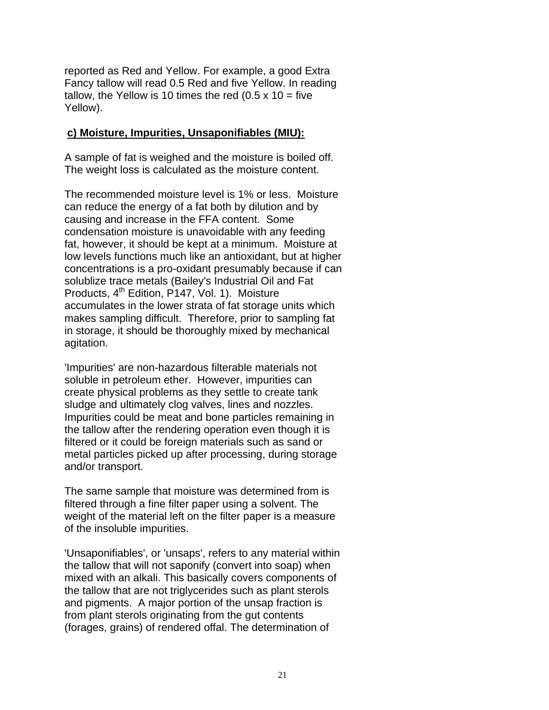reported as Red and Yellow. For example, a good Extra Fancy tallow will read 0.5 Red and five Yellow. In reading tallow, the Yellow is 10 times the red  $(0.5 \times 10 =$  five Yellow).

#### **c) Moisture, Impurities, Unsaponifiables (MIU):**

A sample of fat is weighed and the moisture is boiled off. The weight loss is calculated as the moisture content.

The recommended moisture level is 1% or less. Moisture can reduce the energy of a fat both by dilution and by causing and increase in the FFA content. Some condensation moisture is unavoidable with any feeding fat, however, it should be kept at a minimum. Moisture at low levels functions much like an antioxidant, but at higher concentrations is a pro-oxidant presumably because if can solublize trace metals (Bailey's Industrial Oil and Fat Products, 4<sup>th</sup> Edition, P147, Vol. 1). Moisture accumulates in the lower strata of fat storage units which makes sampling difficult. Therefore, prior to sampling fat in storage, it should be thoroughly mixed by mechanical agitation.

'Impurities' are non-hazardous filterable materials not soluble in petroleum ether. However, impurities can create physical problems as they settle to create tank sludge and ultimately clog valves, lines and nozzles. Impurities could be meat and bone particles remaining in the tallow after the rendering operation even though it is filtered or it could be foreign materials such as sand or metal particles picked up after processing, during storage and/or transport.

The same sample that moisture was determined from is filtered through a fine filter paper using a solvent. The weight of the material left on the filter paper is a measure of the insoluble impurities.

'Unsaponifiables', or 'unsaps', refers to any material within the tallow that will not saponify (convert into soap) when mixed with an alkali. This basically covers components of the tallow that are not triglycerides such as plant sterols and pigments. A major portion of the unsap fraction is from plant sterols originating from the gut contents (forages, grains) of rendered offal. The determination of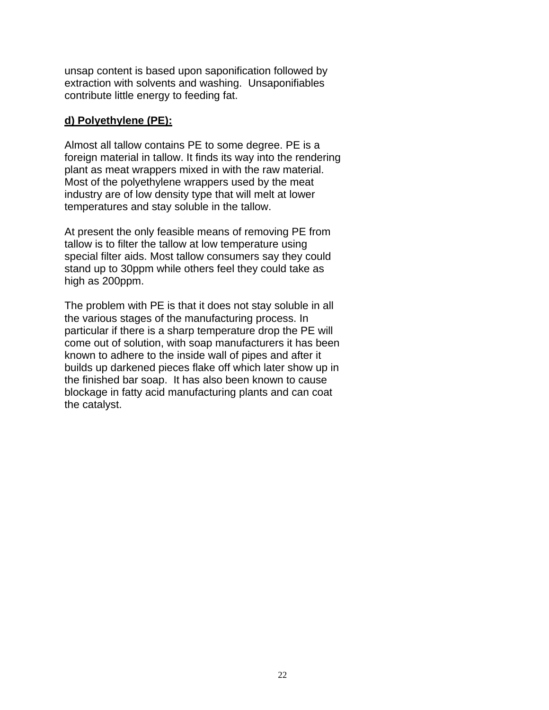unsap content is based upon saponification followed by extraction with solvents and washing. Unsaponifiables contribute little energy to feeding fat.

#### **d) Polyethylene (PE):**

Almost all tallow contains PE to some degree. PE is a foreign material in tallow. It finds its way into the rendering plant as meat wrappers mixed in with the raw material. Most of the polyethylene wrappers used by the meat industry are of low density type that will melt at lower temperatures and stay soluble in the tallow.

At present the only feasible means of removing PE from tallow is to filter the tallow at low temperature using special filter aids. Most tallow consumers say they could stand up to 30ppm while others feel they could take as high as 200ppm.

The problem with PE is that it does not stay soluble in all the various stages of the manufacturing process. In particular if there is a sharp temperature drop the PE will come out of solution, with soap manufacturers it has been known to adhere to the inside wall of pipes and after it builds up darkened pieces flake off which later show up in the finished bar soap. It has also been known to cause blockage in fatty acid manufacturing plants and can coat the catalyst.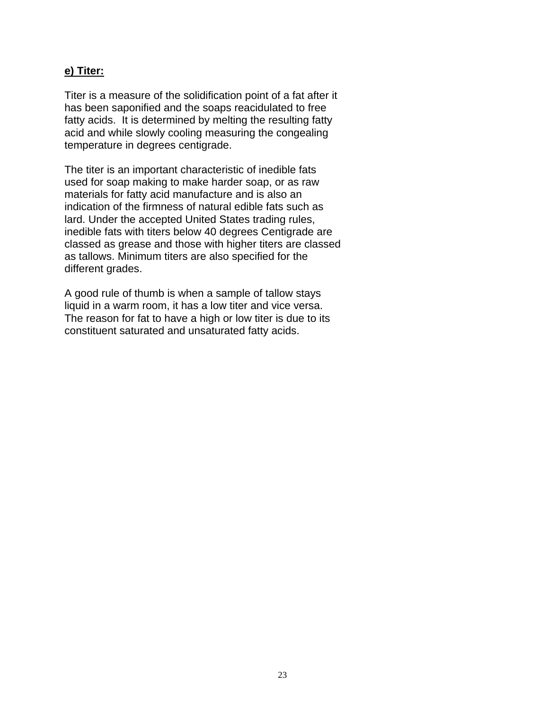#### **e) Titer:**

Titer is a measure of the solidification point of a fat after it has been saponified and the soaps reacidulated to free fatty acids. It is determined by melting the resulting fatty acid and while slowly cooling measuring the congealing temperature in degrees centigrade.

The titer is an important characteristic of inedible fats used for soap making to make harder soap, or as raw materials for fatty acid manufacture and is also an indication of the firmness of natural edible fats such as lard. Under the accepted United States trading rules, inedible fats with titers below 40 degrees Centigrade are classed as grease and those with higher titers are classed as tallows. Minimum titers are also specified for the different grades.

A good rule of thumb is when a sample of tallow stays liquid in a warm room, it has a low titer and vice versa. The reason for fat to have a high or low titer is due to its constituent saturated and unsaturated fatty acids.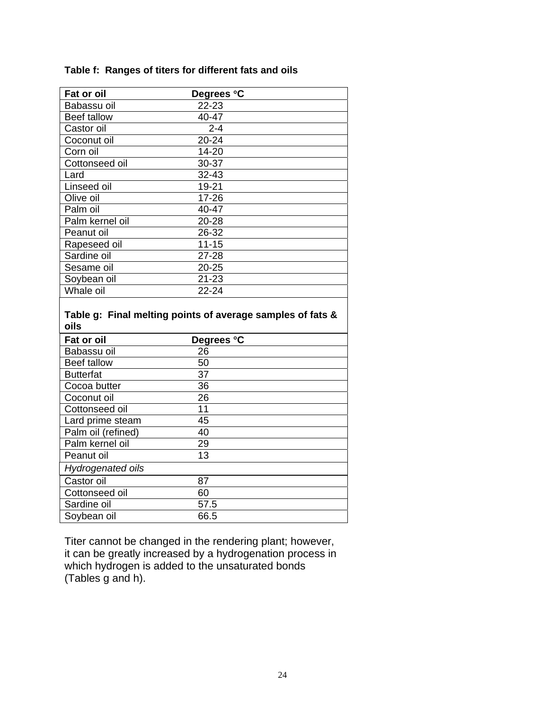### **Table f: Ranges of titers for different fats and oils**

| Fat or oil                                                         | Degrees °C |  |
|--------------------------------------------------------------------|------------|--|
| Babassu oil                                                        | 22-23      |  |
| <b>Beef tallow</b>                                                 | 40-47      |  |
| Castor oil                                                         | $2 - 4$    |  |
| Coconut oil                                                        | 20-24      |  |
| Corn oil                                                           | 14-20      |  |
| Cottonseed oil                                                     | 30-37      |  |
| Lard                                                               | 32-43      |  |
| Linseed oil                                                        | 19-21      |  |
| Olive oil                                                          | 17-26      |  |
| Palm oil                                                           | 40-47      |  |
| Palm kernel oil                                                    | 20-28      |  |
| Peanut oil                                                         | 26-32      |  |
| Rapeseed oil                                                       | $11 - 15$  |  |
| Sardine oil                                                        | 27-28      |  |
| Sesame oil                                                         | $20 - 25$  |  |
| Soybean oil                                                        | $21 - 23$  |  |
|                                                                    |            |  |
| Whale oil                                                          | 22-24      |  |
| Table g: Final melting points of average samples of fats &<br>oils |            |  |
| <b>Fat or oil</b>                                                  | Degrees °C |  |
| Babassu oil                                                        | 26         |  |
| <b>Beef tallow</b>                                                 | 50         |  |
| <b>Butterfat</b>                                                   | 37         |  |
| Cocoa butter                                                       | 36         |  |
| Coconut oil                                                        | 26         |  |
| Cottonseed oil                                                     | 11         |  |
| Lard prime steam                                                   | 45         |  |
| Palm oil (refined)                                                 | 40         |  |
| Palm kernel oil                                                    | 29         |  |
| Peanut oil                                                         | 13         |  |
| Hydrogenated oils<br>Castor oil                                    | 87         |  |
| Cottonseed oil                                                     | 60         |  |
| Sardine oil                                                        | 57.5       |  |

Titer cannot be changed in the rendering plant; however, it can be greatly increased by a hydrogenation process in which hydrogen is added to the unsaturated bonds (Tables g and h).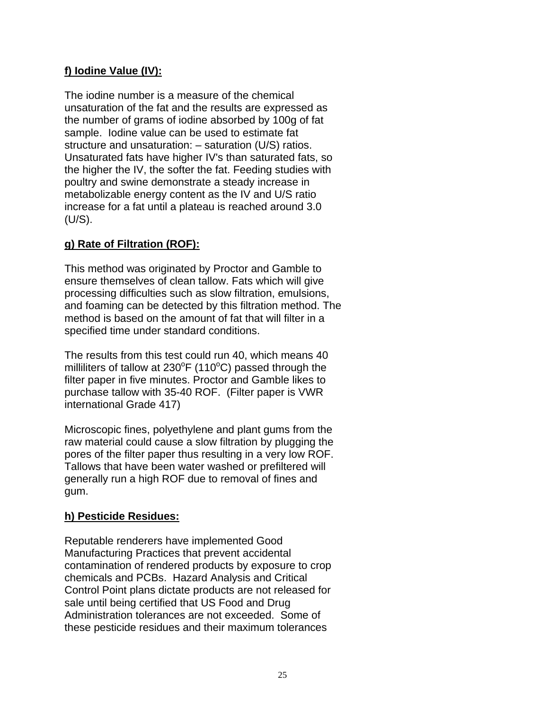## **f) Iodine Value (IV):**

The iodine number is a measure of the chemical unsaturation of the fat and the results are expressed as the number of grams of iodine absorbed by 100g of fat sample. Iodine value can be used to estimate fat structure and unsaturation: – saturation (U/S) ratios. Unsaturated fats have higher IV's than saturated fats, so the higher the IV, the softer the fat. Feeding studies with poultry and swine demonstrate a steady increase in metabolizable energy content as the IV and U/S ratio increase for a fat until a plateau is reached around 3.0 (U/S).

## **g) Rate of Filtration (ROF):**

This method was originated by Proctor and Gamble to ensure themselves of clean tallow. Fats which will give processing difficulties such as slow filtration, emulsions, and foaming can be detected by this filtration method. The method is based on the amount of fat that will filter in a specified time under standard conditions.

The results from this test could run 40, which means 40 milliliters of tallow at  $230^{\circ}F$  (110 $^{\circ}C$ ) passed through the filter paper in five minutes. Proctor and Gamble likes to purchase tallow with 35-40 ROF. (Filter paper is VWR international Grade 417)

Microscopic fines, polyethylene and plant gums from the raw material could cause a slow filtration by plugging the pores of the filter paper thus resulting in a very low ROF. Tallows that have been water washed or prefiltered will generally run a high ROF due to removal of fines and gum.

## **h) Pesticide Residues:**

Reputable renderers have implemented Good Manufacturing Practices that prevent accidental contamination of rendered products by exposure to crop chemicals and PCBs. Hazard Analysis and Critical Control Point plans dictate products are not released for sale until being certified that US Food and Drug Administration tolerances are not exceeded. Some of these pesticide residues and their maximum tolerances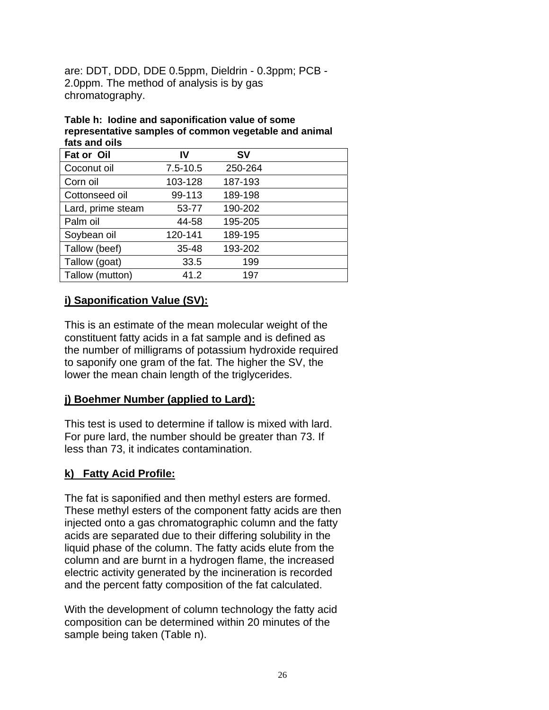are: DDT, DDD, DDE 0.5ppm, Dieldrin - 0.3ppm; PCB - 2.0ppm. The method of analysis is by gas chromatography.

#### **Table h: Iodine and saponification value of some representative samples of common vegetable and animal fats and oils**

| Fat or Oil        | IV           | <b>SV</b> |  |
|-------------------|--------------|-----------|--|
| Coconut oil       | $7.5 - 10.5$ | 250-264   |  |
| Corn oil          | 103-128      | 187-193   |  |
| Cottonseed oil    | 99-113       | 189-198   |  |
| Lard, prime steam | 53-77        | 190-202   |  |
| Palm oil          | 44-58        | 195-205   |  |
| Soybean oil       | 120-141      | 189-195   |  |
| Tallow (beef)     | 35-48        | 193-202   |  |
| Tallow (goat)     | 33.5         | 199       |  |
| Tallow (mutton)   | 41.2         | 197       |  |

## **i) Saponification Value (SV):**

This is an estimate of the mean molecular weight of the constituent fatty acids in a fat sample and is defined as the number of milligrams of potassium hydroxide required to saponify one gram of the fat. The higher the SV, the lower the mean chain length of the triglycerides.

## **j) Boehmer Number (applied to Lard):**

This test is used to determine if tallow is mixed with lard. For pure lard, the number should be greater than 73. If less than 73, it indicates contamination.

## **k) Fatty Acid Profile:**

The fat is saponified and then methyl esters are formed. These methyl esters of the component fatty acids are then injected onto a gas chromatographic column and the fatty acids are separated due to their differing solubility in the liquid phase of the column. The fatty acids elute from the column and are burnt in a hydrogen flame, the increased electric activity generated by the incineration is recorded and the percent fatty composition of the fat calculated.

With the development of column technology the fatty acid composition can be determined within 20 minutes of the sample being taken (Table n).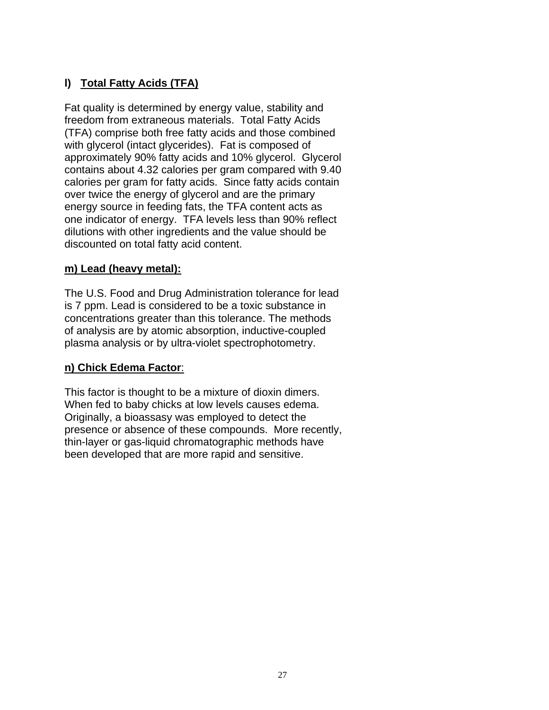## **l) Total Fatty Acids (TFA)**

Fat quality is determined by energy value, stability and freedom from extraneous materials. Total Fatty Acids (TFA) comprise both free fatty acids and those combined with glycerol (intact glycerides). Fat is composed of approximately 90% fatty acids and 10% glycerol. Glycerol contains about 4.32 calories per gram compared with 9.40 calories per gram for fatty acids. Since fatty acids contain over twice the energy of glycerol and are the primary energy source in feeding fats, the TFA content acts as one indicator of energy. TFA levels less than 90% reflect dilutions with other ingredients and the value should be discounted on total fatty acid content.

## **m) Lead (heavy metal):**

The U.S. Food and Drug Administration tolerance for lead is 7 ppm. Lead is considered to be a toxic substance in concentrations greater than this tolerance. The methods of analysis are by atomic absorption, inductive-coupled plasma analysis or by ultra-violet spectrophotometry.

## **n) Chick Edema Factor**:

This factor is thought to be a mixture of dioxin dimers. When fed to baby chicks at low levels causes edema. Originally, a bioassasy was employed to detect the presence or absence of these compounds. More recently, thin-layer or gas-liquid chromatographic methods have been developed that are more rapid and sensitive.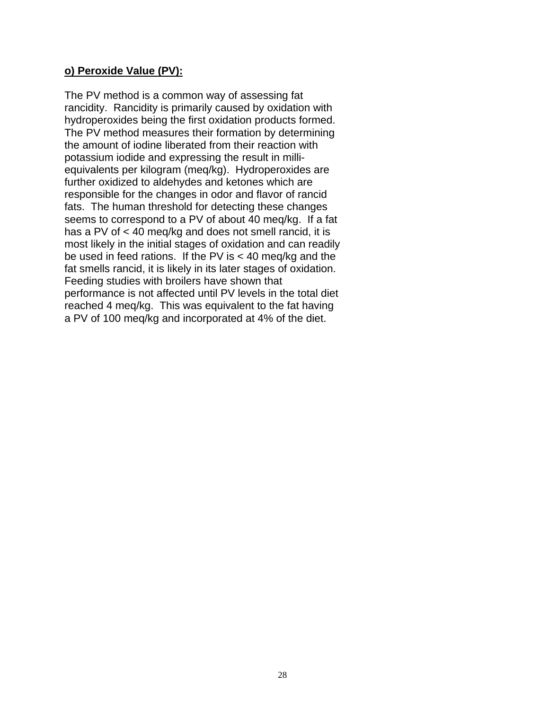#### **o) Peroxide Value (PV):**

The PV method is a common way of assessing fat rancidity. Rancidity is primarily caused by oxidation with hydroperoxides being the first oxidation products formed. The PV method measures their formation by determining the amount of iodine liberated from their reaction with potassium iodide and expressing the result in milliequivalents per kilogram (meq/kg). Hydroperoxides are further oxidized to aldehydes and ketones which are responsible for the changes in odor and flavor of rancid fats. The human threshold for detecting these changes seems to correspond to a PV of about 40 meq/kg. If a fat has a PV of < 40 meq/kg and does not smell rancid, it is most likely in the initial stages of oxidation and can readily be used in feed rations. If the PV is < 40 meq/kg and the fat smells rancid, it is likely in its later stages of oxidation. Feeding studies with broilers have shown that performance is not affected until PV levels in the total diet reached 4 meq/kg. This was equivalent to the fat having a PV of 100 meq/kg and incorporated at 4% of the diet.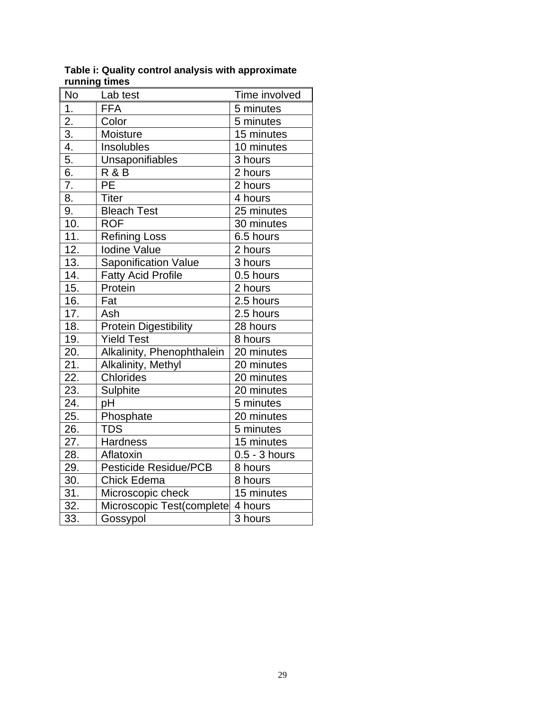| <b>No</b> | Lab test                     | Time involved   |
|-----------|------------------------------|-----------------|
| 1.        | <b>FFA</b>                   | 5 minutes       |
| 2.        | Color                        | 5 minutes       |
| 3.        | Moisture                     | 15 minutes      |
| 4.        | Insolubles                   | 10 minutes      |
| 5.        | Unsaponifiables              | 3 hours         |
| 6.        | R & B                        | 2 hours         |
| 7.        | PE                           | 2 hours         |
| 8.        | <b>Titer</b>                 | 4 hours         |
| 9.        | <b>Bleach Test</b>           | 25 minutes      |
| 10.       | <b>ROF</b>                   | 30 minutes      |
| 11.       | Refining Loss                | 6.5 hours       |
| 12.       | <b>Iodine Value</b>          | 2 hours         |
| 13.       | Saponification Value         | 3 hours         |
| 14.       | <b>Fatty Acid Profile</b>    | 0.5 hours       |
| 15.       | Protein                      | 2 hours         |
| 16.       | Fat                          | 2.5 hours       |
| 17.       | Ash                          | 2.5 hours       |
| 18.       | Protein Digestibility        | 28 hours        |
| 19.       | <b>Yield Test</b>            | 8 hours         |
| 20.       | Alkalinity, Phenophthalein   | 20 minutes      |
| 21.       | Alkalinity, Methyl           | 20 minutes      |
| 22.       | Chlorides                    | 20 minutes      |
| 23.       | Sulphite                     | 20 minutes      |
| 24.       | рH                           | 5 minutes       |
| 25.       | Phosphate                    | 20 minutes      |
| 26.       | <b>TDS</b>                   | 5 minutes       |
| 27.       | Hardness                     | 15 minutes      |
| 28.       | Aflatoxin                    | $0.5 - 3$ hours |
| 29.       | <b>Pesticide Residue/PCB</b> | 8 hours         |
| 30.       | <b>Chick Edema</b>           | 8 hours         |
| 31.       | Microscopic check            | 15 minutes      |
| 32.       | Microscopic Test(complete    | 4 hours         |
| 33.       | Gossypol                     | 3 hours         |

**Table i: Quality control analysis with approximate running times**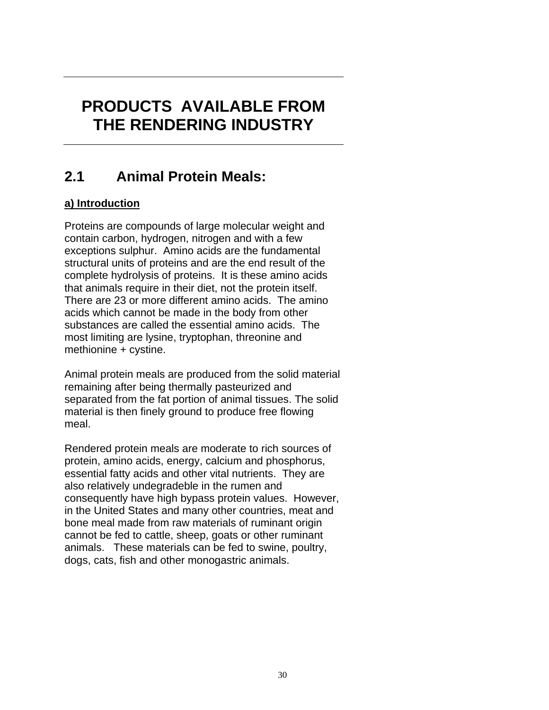# **PRODUCTS AVAILABLE FROM THE RENDERING INDUSTRY**

## **2.1 Animal Protein Meals:**

## **a) Introduction**

Proteins are compounds of large molecular weight and contain carbon, hydrogen, nitrogen and with a few exceptions sulphur. Amino acids are the fundamental structural units of proteins and are the end result of the complete hydrolysis of proteins. It is these amino acids that animals require in their diet, not the protein itself. There are 23 or more different amino acids. The amino acids which cannot be made in the body from other substances are called the essential amino acids. The most limiting are lysine, tryptophan, threonine and methionine + cystine.

Animal protein meals are produced from the solid material remaining after being thermally pasteurized and separated from the fat portion of animal tissues. The solid material is then finely ground to produce free flowing meal.

Rendered protein meals are moderate to rich sources of protein, amino acids, energy, calcium and phosphorus, essential fatty acids and other vital nutrients. They are also relatively undegradeble in the rumen and consequently have high bypass protein values. However, in the United States and many other countries, meat and bone meal made from raw materials of ruminant origin cannot be fed to cattle, sheep, goats or other ruminant animals. These materials can be fed to swine, poultry, dogs, cats, fish and other monogastric animals.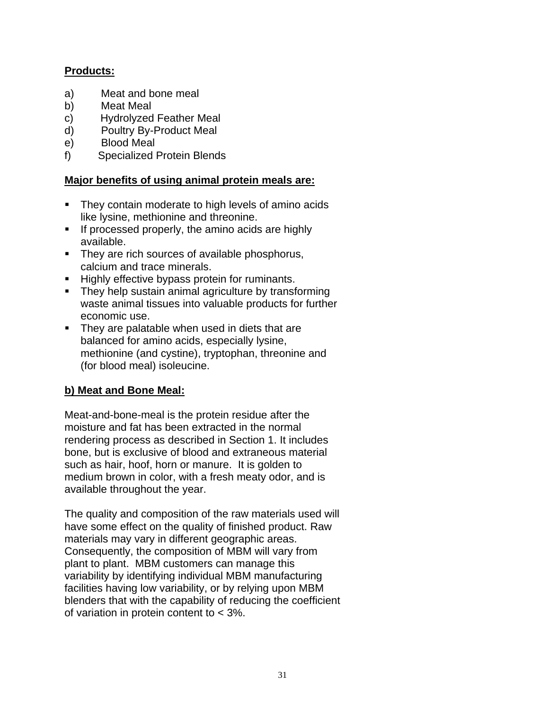## **Products:**

- a) Meat and bone meal
- b) Meat Meal
- c) Hydrolyzed Feather Meal
- d) Poultry By-Product Meal
- e) Blood Meal
- f) Specialized Protein Blends

### **Major benefits of using animal protein meals are:**

- **They contain moderate to high levels of amino acids** like lysine, methionine and threonine.
- $\blacksquare$  If processed properly, the amino acids are highly available.
- **They are rich sources of available phosphorus,** calcium and trace minerals.
- **Highly effective bypass protein for ruminants.**
- They help sustain animal agriculture by transforming waste animal tissues into valuable products for further economic use.
- **They are palatable when used in diets that are** balanced for amino acids, especially lysine, methionine (and cystine), tryptophan, threonine and (for blood meal) isoleucine.

## **b) Meat and Bone Meal:**

Meat-and-bone-meal is the protein residue after the moisture and fat has been extracted in the normal rendering process as described in Section 1. It includes bone, but is exclusive of blood and extraneous material such as hair, hoof, horn or manure. It is golden to medium brown in color, with a fresh meaty odor, and is available throughout the year.

The quality and composition of the raw materials used will have some effect on the quality of finished product. Raw materials may vary in different geographic areas. Consequently, the composition of MBM will vary from plant to plant. MBM customers can manage this variability by identifying individual MBM manufacturing facilities having low variability, or by relying upon MBM blenders that with the capability of reducing the coefficient of variation in protein content to < 3%.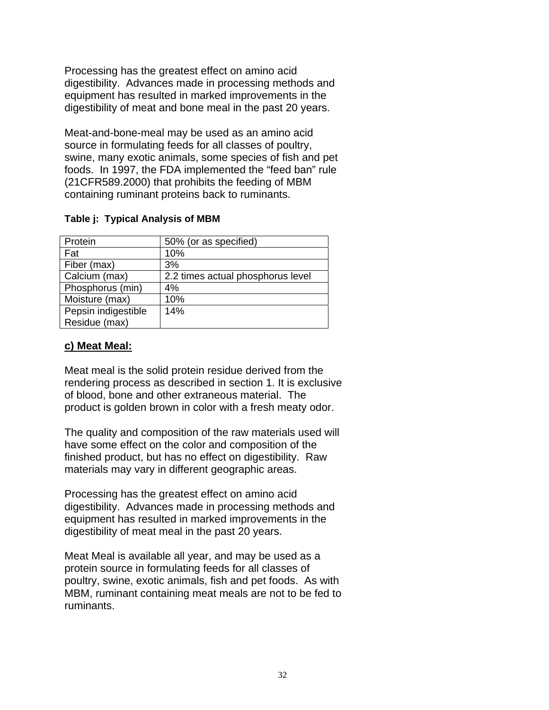Processing has the greatest effect on amino acid digestibility. Advances made in processing methods and equipment has resulted in marked improvements in the digestibility of meat and bone meal in the past 20 years.

Meat-and-bone-meal may be used as an amino acid source in formulating feeds for all classes of poultry, swine, many exotic animals, some species of fish and pet foods. In 1997, the FDA implemented the "feed ban" rule (21CFR589.2000) that prohibits the feeding of MBM containing ruminant proteins back to ruminants.

#### **Table j: Typical Analysis of MBM**

| Protein             | 50% (or as specified)             |
|---------------------|-----------------------------------|
| Fat                 | 10%                               |
| Fiber (max)         | 3%                                |
| Calcium (max)       | 2.2 times actual phosphorus level |
| Phosphorus (min)    | 4%                                |
| Moisture (max)      | 10%                               |
| Pepsin indigestible | 14%                               |
| Residue (max)       |                                   |

### **c) Meat Meal:**

Meat meal is the solid protein residue derived from the rendering process as described in section 1. It is exclusive of blood, bone and other extraneous material. The product is golden brown in color with a fresh meaty odor.

The quality and composition of the raw materials used will have some effect on the color and composition of the finished product, but has no effect on digestibility. Raw materials may vary in different geographic areas.

Processing has the greatest effect on amino acid digestibility. Advances made in processing methods and equipment has resulted in marked improvements in the digestibility of meat meal in the past 20 years.

Meat Meal is available all year, and may be used as a protein source in formulating feeds for all classes of poultry, swine, exotic animals, fish and pet foods. As with MBM, ruminant containing meat meals are not to be fed to ruminants.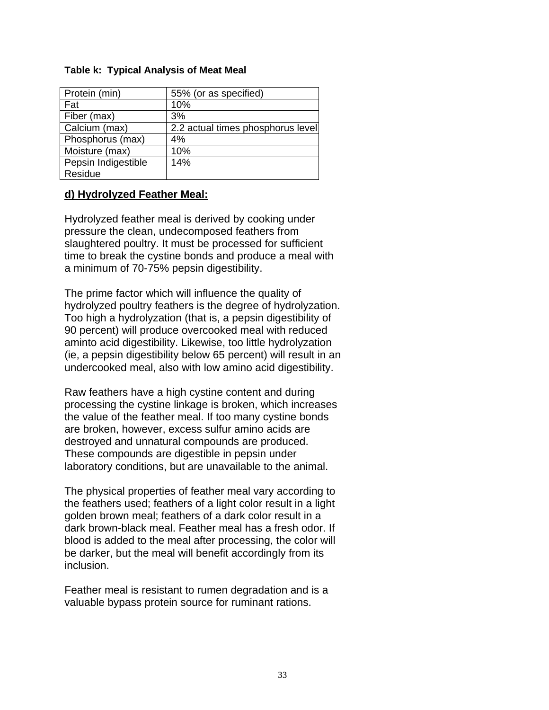#### **Table k: Typical Analysis of Meat Meal**

| Protein (min)       | 55% (or as specified)             |
|---------------------|-----------------------------------|
| Fat                 | 10%                               |
| Fiber (max)         | 3%                                |
| Calcium (max)       | 2.2 actual times phosphorus level |
| Phosphorus (max)    | 4%                                |
| Moisture (max)      | 10%                               |
| Pepsin Indigestible | 14%                               |
| Residue             |                                   |

#### **d) Hydrolyzed Feather Meal:**

Hydrolyzed feather meal is derived by cooking under pressure the clean, undecomposed feathers from slaughtered poultry. It must be processed for sufficient time to break the cystine bonds and produce a meal with a minimum of 70-75% pepsin digestibility.

The prime factor which will influence the quality of hydrolyzed poultry feathers is the degree of hydrolyzation. Too high a hydrolyzation (that is, a pepsin digestibility of 90 percent) will produce overcooked meal with reduced aminto acid digestibility. Likewise, too little hydrolyzation (ie, a pepsin digestibility below 65 percent) will result in an undercooked meal, also with low amino acid digestibility.

Raw feathers have a high cystine content and during processing the cystine linkage is broken, which increases the value of the feather meal. If too many cystine bonds are broken, however, excess sulfur amino acids are destroyed and unnatural compounds are produced. These compounds are digestible in pepsin under laboratory conditions, but are unavailable to the animal.

The physical properties of feather meal vary according to the feathers used; feathers of a light color result in a light golden brown meal; feathers of a dark color result in a dark brown-black meal. Feather meal has a fresh odor. If blood is added to the meal after processing, the color will be darker, but the meal will benefit accordingly from its inclusion.

Feather meal is resistant to rumen degradation and is a valuable bypass protein source for ruminant rations.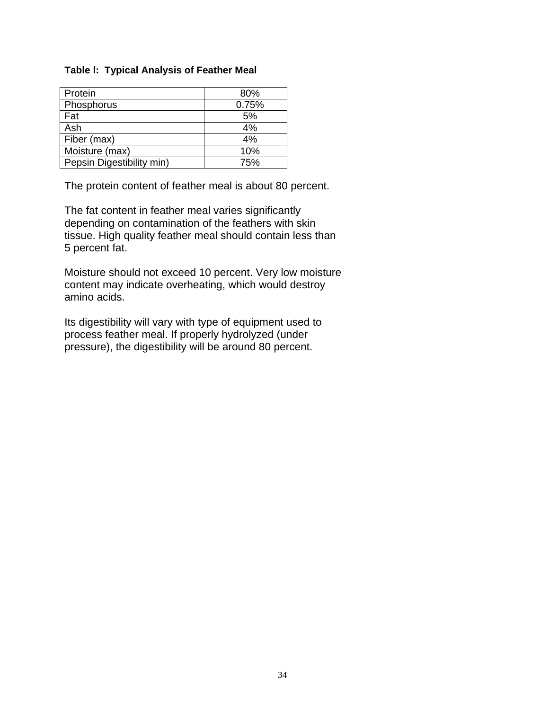#### **Table l: Typical Analysis of Feather Meal**

| Protein                   | 80%   |
|---------------------------|-------|
| Phosphorus                | 0.75% |
| Fat                       | 5%    |
| Ash                       | 4%    |
| Fiber (max)               | 4%    |
| Moisture (max)            | 10%   |
| Pepsin Digestibility min) | 75%   |

The protein content of feather meal is about 80 percent.

The fat content in feather meal varies significantly depending on contamination of the feathers with skin tissue. High quality feather meal should contain less than 5 percent fat.

Moisture should not exceed 10 percent. Very low moisture content may indicate overheating, which would destroy amino acids.

Its digestibility will vary with type of equipment used to process feather meal. If properly hydrolyzed (under pressure), the digestibility will be around 80 percent.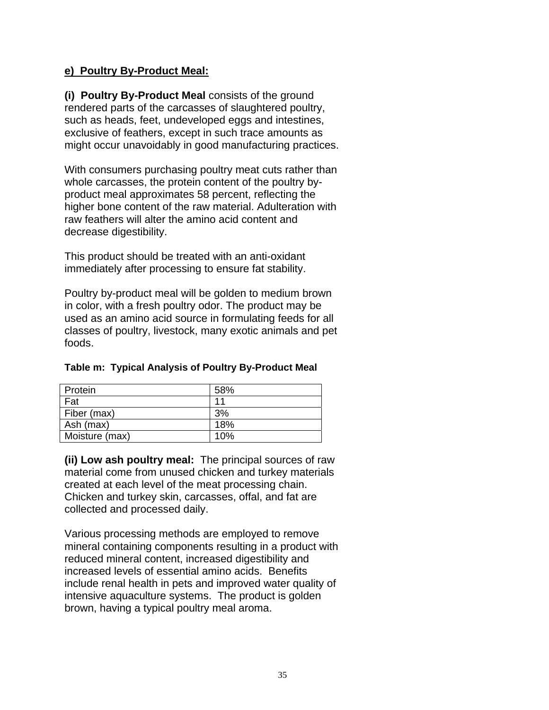#### **e) Poultry By-Product Meal:**

**(i) Poultry By-Product Meal** consists of the ground rendered parts of the carcasses of slaughtered poultry, such as heads, feet, undeveloped eggs and intestines, exclusive of feathers, except in such trace amounts as might occur unavoidably in good manufacturing practices.

With consumers purchasing poultry meat cuts rather than whole carcasses, the protein content of the poultry byproduct meal approximates 58 percent, reflecting the higher bone content of the raw material. Adulteration with raw feathers will alter the amino acid content and decrease digestibility.

This product should be treated with an anti-oxidant immediately after processing to ensure fat stability.

Poultry by-product meal will be golden to medium brown in color, with a fresh poultry odor. The product may be used as an amino acid source in formulating feeds for all classes of poultry, livestock, many exotic animals and pet foods.

| Protein        | 58% |
|----------------|-----|
| Fat            | 11  |
| Fiber (max)    | 3%  |
| Ash (max)      | 18% |
| Moisture (max) | 10% |

#### **Table m: Typical Analysis of Poultry By-Product Meal**

**(ii) Low ash poultry meal:** The principal sources of raw material come from unused chicken and turkey materials created at each level of the meat processing chain. Chicken and turkey skin, carcasses, offal, and fat are collected and processed daily.

Various processing methods are employed to remove mineral containing components resulting in a product with reduced mineral content, increased digestibility and increased levels of essential amino acids. Benefits include renal health in pets and improved water quality of intensive aquaculture systems. The product is golden brown, having a typical poultry meal aroma.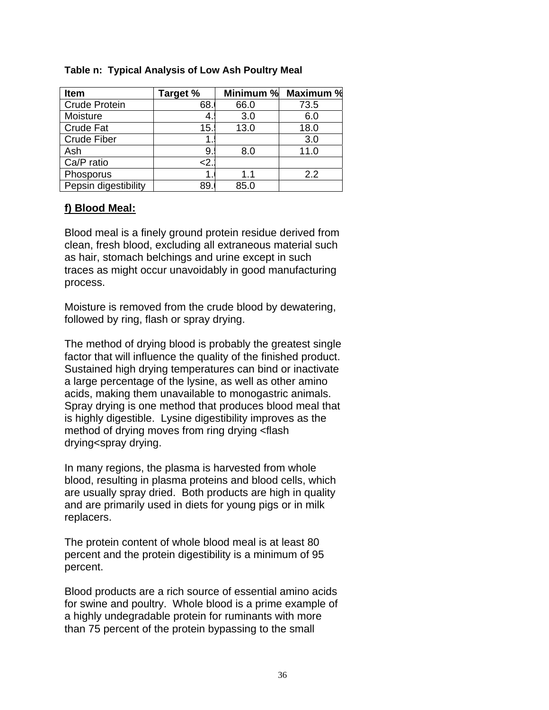| <b>Item</b>          | Target % | Minimum % | Maximum % |
|----------------------|----------|-----------|-----------|
| <b>Crude Protein</b> | 68.      | 66.0      | 73.5      |
| Moisture             |          | 3.0       | 6.0       |
| <b>Crude Fat</b>     | 15.      | 13.0      | 18.0      |
| <b>Crude Fiber</b>   |          |           | 3.0       |
| Ash                  | 9.       | 8.0       | 11.0      |
| Ca/P ratio           | :2>      |           |           |
| Phosporus            |          | 1.1       | 2.2       |
| Pepsin digestibility | 89       | 85.0      |           |

#### **Table n: Typical Analysis of Low Ash Poultry Meal**

#### **f) Blood Meal:**

Blood meal is a finely ground protein residue derived from clean, fresh blood, excluding all extraneous material such as hair, stomach belchings and urine except in such traces as might occur unavoidably in good manufacturing process.

Moisture is removed from the crude blood by dewatering, followed by ring, flash or spray drying.

The method of drying blood is probably the greatest single factor that will influence the quality of the finished product. Sustained high drying temperatures can bind or inactivate a large percentage of the lysine, as well as other amino acids, making them unavailable to monogastric animals. Spray drying is one method that produces blood meal that is highly digestible. Lysine digestibility improves as the method of drying moves from ring drying <flash drying<spray drying.

In many regions, the plasma is harvested from whole blood, resulting in plasma proteins and blood cells, which are usually spray dried. Both products are high in quality and are primarily used in diets for young pigs or in milk replacers.

The protein content of whole blood meal is at least 80 percent and the protein digestibility is a minimum of 95 percent.

Blood products are a rich source of essential amino acids for swine and poultry. Whole blood is a prime example of a highly undegradable protein for ruminants with more than 75 percent of the protein bypassing to the small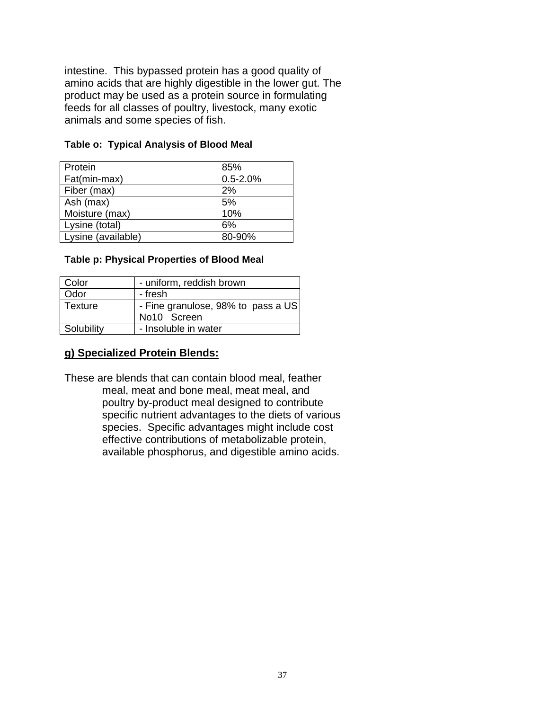intestine. This bypassed protein has a good quality of amino acids that are highly digestible in the lower gut. The product may be used as a protein source in formulating feeds for all classes of poultry, livestock, many exotic animals and some species of fish.

| Protein            | 85%          |
|--------------------|--------------|
| Fat(min-max)       | $0.5 - 2.0%$ |
| Fiber (max)        | 2%           |
| Ash (max)          | 5%           |
| Moisture (max)     | 10%          |
| Lysine (total)     | 6%           |
| Lysine (available) | 80-90%       |

#### **Table o: Typical Analysis of Blood Meal**

#### **Table p: Physical Properties of Blood Meal**

| Color      | - uniform, reddish brown                          |
|------------|---------------------------------------------------|
| Odor       | - fresh                                           |
| Texture    | - Fine granulose, 98% to pass a US<br>No10 Screen |
| Solubility | - Insoluble in water                              |

#### **g) Specialized Protein Blends:**

These are blends that can contain blood meal, feather meal, meat and bone meal, meat meal, and poultry by-product meal designed to contribute specific nutrient advantages to the diets of various species. Specific advantages might include cost effective contributions of metabolizable protein, available phosphorus, and digestible amino acids.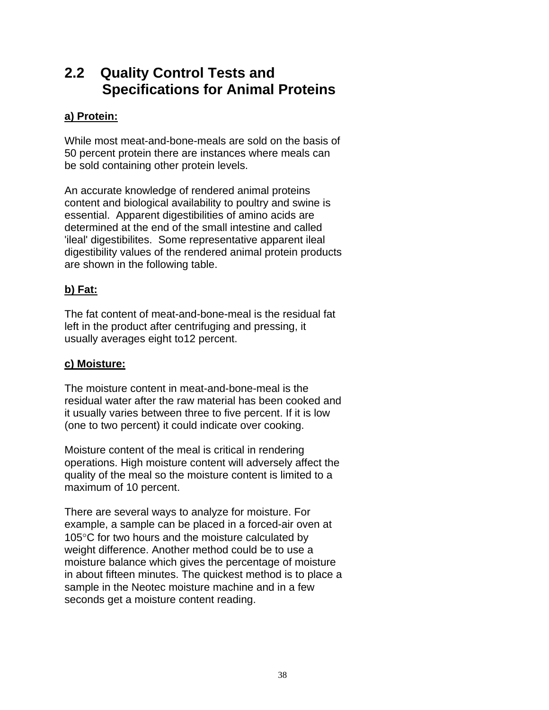## **2.2 Quality Control Tests and Specifications for Animal Proteins**

### **a) Protein:**

While most meat-and-bone-meals are sold on the basis of 50 percent protein there are instances where meals can be sold containing other protein levels.

An accurate knowledge of rendered animal proteins content and biological availability to poultry and swine is essential. Apparent digestibilities of amino acids are determined at the end of the small intestine and called 'ileal' digestibilites. Some representative apparent ileal digestibility values of the rendered animal protein products are shown in the following table.

## **b) Fat:**

The fat content of meat-and-bone-meal is the residual fat left in the product after centrifuging and pressing, it usually averages eight to12 percent.

#### **c) Moisture:**

The moisture content in meat-and-bone-meal is the residual water after the raw material has been cooked and it usually varies between three to five percent. If it is low (one to two percent) it could indicate over cooking.

Moisture content of the meal is critical in rendering operations. High moisture content will adversely affect the quality of the meal so the moisture content is limited to a maximum of 10 percent.

There are several ways to analyze for moisture. For example, a sample can be placed in a forced-air oven at 105°C for two hours and the moisture calculated by weight difference. Another method could be to use a moisture balance which gives the percentage of moisture in about fifteen minutes. The quickest method is to place a sample in the Neotec moisture machine and in a few seconds get a moisture content reading.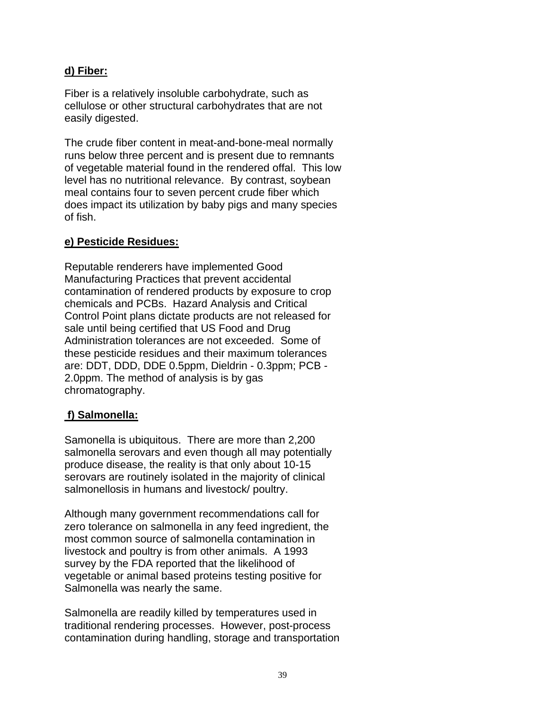### **d) Fiber:**

Fiber is a relatively insoluble carbohydrate, such as cellulose or other structural carbohydrates that are not easily digested.

The crude fiber content in meat-and-bone-meal normally runs below three percent and is present due to remnants of vegetable material found in the rendered offal. This low level has no nutritional relevance. By contrast, soybean meal contains four to seven percent crude fiber which does impact its utilization by baby pigs and many species of fish.

### **e) Pesticide Residues:**

Reputable renderers have implemented Good Manufacturing Practices that prevent accidental contamination of rendered products by exposure to crop chemicals and PCBs. Hazard Analysis and Critical Control Point plans dictate products are not released for sale until being certified that US Food and Drug Administration tolerances are not exceeded. Some of these pesticide residues and their maximum tolerances are: DDT, DDD, DDE 0.5ppm, Dieldrin - 0.3ppm; PCB - 2.0ppm. The method of analysis is by gas chromatography.

## **f) Salmonella:**

Samonella is ubiquitous. There are more than 2,200 salmonella serovars and even though all may potentially produce disease, the reality is that only about 10-15 serovars are routinely isolated in the majority of clinical salmonellosis in humans and livestock/ poultry.

Although many government recommendations call for zero tolerance on salmonella in any feed ingredient, the most common source of salmonella contamination in livestock and poultry is from other animals. A 1993 survey by the FDA reported that the likelihood of vegetable or animal based proteins testing positive for Salmonella was nearly the same.

Salmonella are readily killed by temperatures used in traditional rendering processes. However, post-process contamination during handling, storage and transportation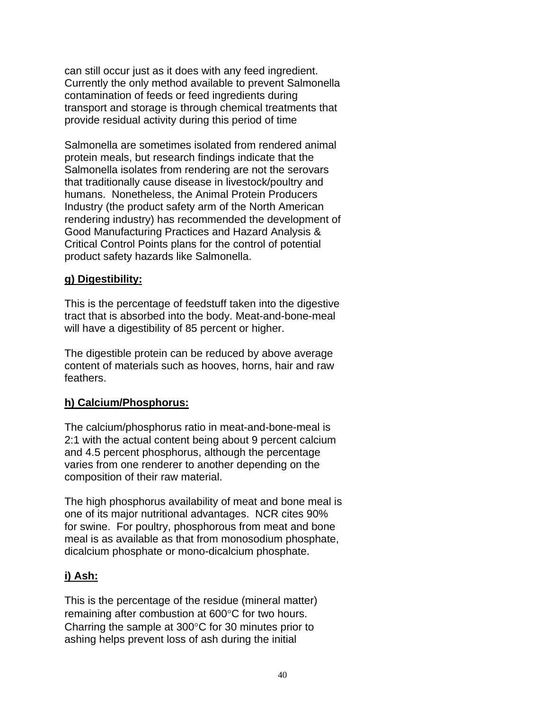can still occur just as it does with any feed ingredient. Currently the only method available to prevent Salmonella contamination of feeds or feed ingredients during transport and storage is through chemical treatments that provide residual activity during this period of time

Salmonella are sometimes isolated from rendered animal protein meals, but research findings indicate that the Salmonella isolates from rendering are not the serovars that traditionally cause disease in livestock/poultry and humans. Nonetheless, the Animal Protein Producers Industry (the product safety arm of the North American rendering industry) has recommended the development of Good Manufacturing Practices and Hazard Analysis & Critical Control Points plans for the control of potential product safety hazards like Salmonella.

### **g) Digestibility:**

This is the percentage of feedstuff taken into the digestive tract that is absorbed into the body. Meat-and-bone-meal will have a digestibility of 85 percent or higher.

The digestible protein can be reduced by above average content of materials such as hooves, horns, hair and raw feathers.

## **h) Calcium/Phosphorus:**

The calcium/phosphorus ratio in meat-and-bone-meal is 2:1 with the actual content being about 9 percent calcium and 4.5 percent phosphorus, although the percentage varies from one renderer to another depending on the composition of their raw material.

The high phosphorus availability of meat and bone meal is one of its major nutritional advantages. NCR cites 90% for swine. For poultry, phosphorous from meat and bone meal is as available as that from monosodium phosphate, dicalcium phosphate or mono-dicalcium phosphate.

## **i) Ash:**

This is the percentage of the residue (mineral matter) remaining after combustion at 600°C for two hours. Charring the sample at 300°C for 30 minutes prior to ashing helps prevent loss of ash during the initial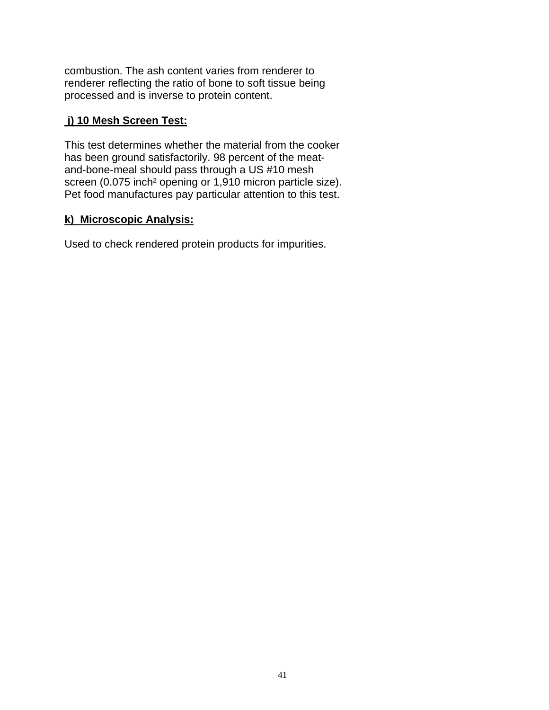combustion. The ash content varies from renderer to renderer reflecting the ratio of bone to soft tissue being processed and is inverse to protein content.

### **j) 10 Mesh Screen Test:**

This test determines whether the material from the cooker has been ground satisfactorily. 98 percent of the meatand-bone-meal should pass through a US #10 mesh screen (0.075 inch² opening or 1,910 micron particle size). Pet food manufactures pay particular attention to this test.

### **k) Microscopic Analysis:**

Used to check rendered protein products for impurities.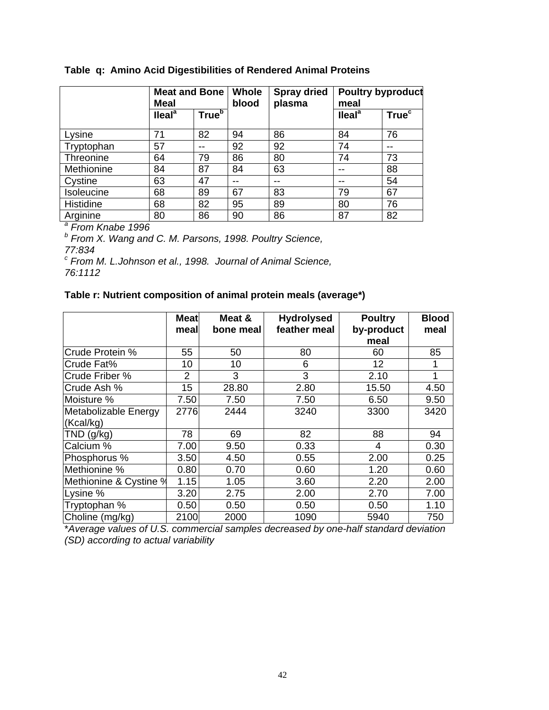|                              | <b>Meat and Bone</b><br>Meal                                        |                          | Whole<br>blood | <b>Spray dried</b><br>plasma | <b>Poultry byproduct</b><br>meal |                          |  |
|------------------------------|---------------------------------------------------------------------|--------------------------|----------------|------------------------------|----------------------------------|--------------------------|--|
|                              | $I$ leal <sup>a</sup>                                               | <b>True</b> <sup>b</sup> |                |                              | $\textsf{I}$ leal <sup>a</sup>   | <b>True</b> <sup>c</sup> |  |
| Lysine                       | 71                                                                  | 82                       | 94             | 86                           | 84                               | 76                       |  |
| Tryptophan                   | 57                                                                  | --                       | 92             | 92                           | 74                               |                          |  |
| Threonine                    | 64                                                                  | 79                       | 86             | 80                           | 74                               | 73                       |  |
| Methionine                   | 84                                                                  | 87                       | 84             | 63                           |                                  | 88                       |  |
| Cystine                      | 63                                                                  | 47                       |                | --                           |                                  | 54                       |  |
| Isoleucine                   | 68                                                                  | 89                       | 67             | 83                           | 79                               | 67                       |  |
| <b>Histidine</b>             | 68                                                                  | 82                       | 95             | 89                           | 80                               | 76                       |  |
| Arginine                     | 80                                                                  | 86                       | 90             | 86                           | 87                               | 82                       |  |
| <sup>a</sup> From Knabe 1996 |                                                                     |                          |                |                              |                                  |                          |  |
|                              | <sup>b</sup> From X. Wang and C. M. Parsons, 1998. Poultry Science, |                          |                |                              |                                  |                          |  |

*77:834* 

*c From M. L.Johnson et al., 1998. Journal of Animal Science, 76:1112* 

## **Table r: Nutrient composition of animal protein meals (average\*)**

|                        | <b>Meat</b><br>meal | Meat &<br>bone meal | <b>Hydrolysed</b><br>feather meal | <b>Poultry</b><br>by-product<br>meal | <b>Blood</b><br>meal |
|------------------------|---------------------|---------------------|-----------------------------------|--------------------------------------|----------------------|
| Crude Protein %        | 55                  | 50                  | 80                                | 60                                   | 85                   |
| Crude Fat%             | 10                  | 10                  | 6                                 | 12                                   |                      |
| Crude Friber %         | $\overline{2}$      | 3                   | 3                                 | 2.10                                 |                      |
| Crude Ash %            | 15                  | 28.80               | 2.80                              | 15.50                                | 4.50                 |
| Moisture %             | 7.50                | 7.50                | 7.50                              | 6.50                                 | 9.50                 |
| Metabolizable Energy   | 2776                | 2444                | 3240                              | 3300                                 | 3420                 |
| (Kcal/kg)              |                     |                     |                                   |                                      |                      |
| $TND$ (g/kg)           | 78                  | 69                  | 82                                | 88                                   | 94                   |
| Calcium %              | 7.00                | 9.50                | 0.33                              | 4                                    | 0.30                 |
| Phosphorus %           | 3.50                | 4.50                | 0.55                              | 2.00                                 | 0.25                 |
| Methionine %           | 0.80                | 0.70                | 0.60                              | 1.20                                 | 0.60                 |
| Methionine & Cystine % | 1.15                | 1.05                | 3.60                              | 2.20                                 | 2.00                 |
| Lysine %               | 3.20                | 2.75                | 2.00                              | 2.70                                 | 7.00                 |
| Tryptophan %           | 0.50                | 0.50                | 0.50                              | 0.50                                 | 1.10                 |
| Choline (mg/kg)        | 2100                | 2000                | 1090                              | 5940                                 | 750                  |

\**Average values of U.S. commercial samples decreased by one-half standard deviation (SD) according to actual variability*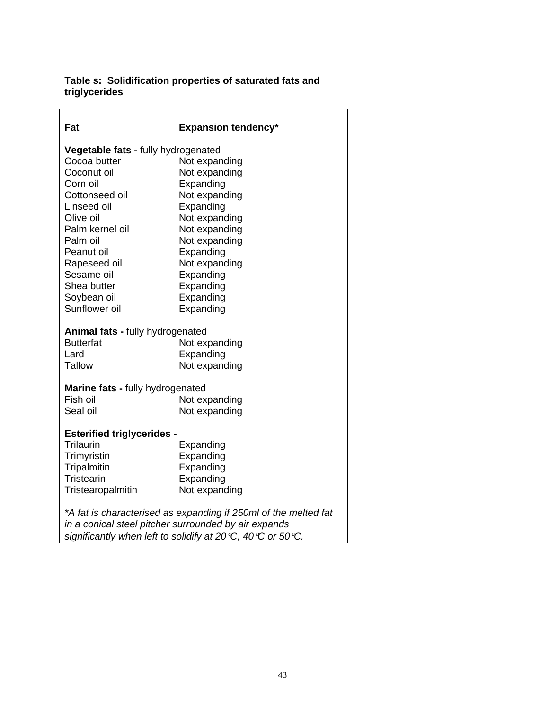#### **Table s: Solidification properties of saturated fats and triglycerides**

| Fat                                     | <b>Expansion tendency*</b>                                      |  |  |  |  |
|-----------------------------------------|-----------------------------------------------------------------|--|--|--|--|
| Vegetable fats - fully hydrogenated     |                                                                 |  |  |  |  |
| Cocoa butter                            | Not expanding                                                   |  |  |  |  |
| Coconut oil                             | Not expanding                                                   |  |  |  |  |
| Corn oil                                | Expanding                                                       |  |  |  |  |
| Cottonseed oil                          | Not expanding                                                   |  |  |  |  |
| Linseed oil                             | Expanding                                                       |  |  |  |  |
| Olive oil                               | Not expanding                                                   |  |  |  |  |
| Palm kernel oil                         | Not expanding                                                   |  |  |  |  |
| Palm oil                                | Not expanding                                                   |  |  |  |  |
| Peanut oil                              | Expanding                                                       |  |  |  |  |
| Rapeseed oil                            | Not expanding                                                   |  |  |  |  |
| Sesame oil                              | Expanding                                                       |  |  |  |  |
| Shea butter                             | Expanding                                                       |  |  |  |  |
| Soybean oil                             | Expanding                                                       |  |  |  |  |
| Sunflower oil                           | Expanding                                                       |  |  |  |  |
| Animal fats - fully hydrogenated        |                                                                 |  |  |  |  |
| <b>Butterfat</b>                        | Not expanding                                                   |  |  |  |  |
| Lard                                    | Expanding                                                       |  |  |  |  |
| <b>Tallow</b>                           | Not expanding                                                   |  |  |  |  |
| <b>Marine fats - fully hydrogenated</b> |                                                                 |  |  |  |  |
| Fish oil                                | Not expanding                                                   |  |  |  |  |
| Seal oil                                | Not expanding                                                   |  |  |  |  |
| <b>Esterified triglycerides -</b>       |                                                                 |  |  |  |  |
| Trilaurin                               | Expanding                                                       |  |  |  |  |
| Trimyristin                             | Expanding                                                       |  |  |  |  |
| Tripalmitin                             | Expanding                                                       |  |  |  |  |
| <b>Tristearin</b>                       | Expanding                                                       |  |  |  |  |
|                                         |                                                                 |  |  |  |  |
| Tristearopalmitin                       | Not expanding                                                   |  |  |  |  |
|                                         | *A fat is characterised as expanding if 250ml of the melted fat |  |  |  |  |

*significantly when left to solidify at 20*°*C, 40*°*C or 50*°*C.*